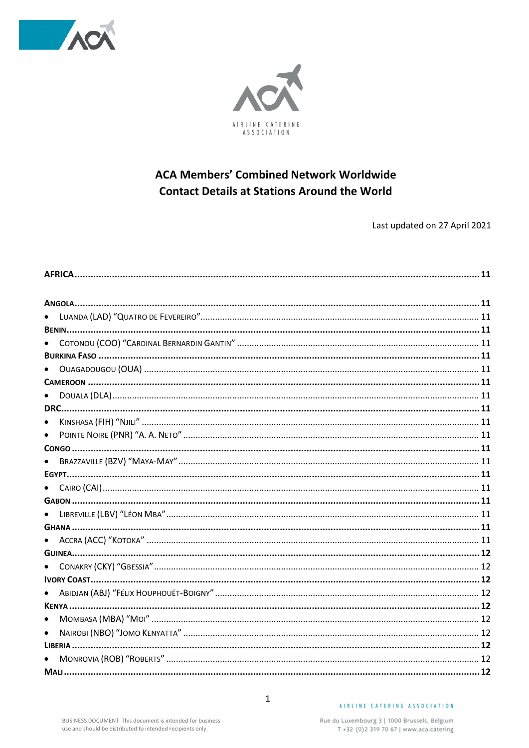



### **ACA Members' Combined Network Worldwide Contact Details at Stations Around the World**

Last updated on 27 April 2021

| $\bullet$ |  |
|-----------|--|
|           |  |
| $\bullet$ |  |
|           |  |
|           |  |
| $\bullet$ |  |
|           |  |
| $\bullet$ |  |
|           |  |
|           |  |
|           |  |
|           |  |
|           |  |
|           |  |
|           |  |
|           |  |
|           |  |
|           |  |
|           |  |
| $\bullet$ |  |
| $\bullet$ |  |
|           |  |
| $\bullet$ |  |
|           |  |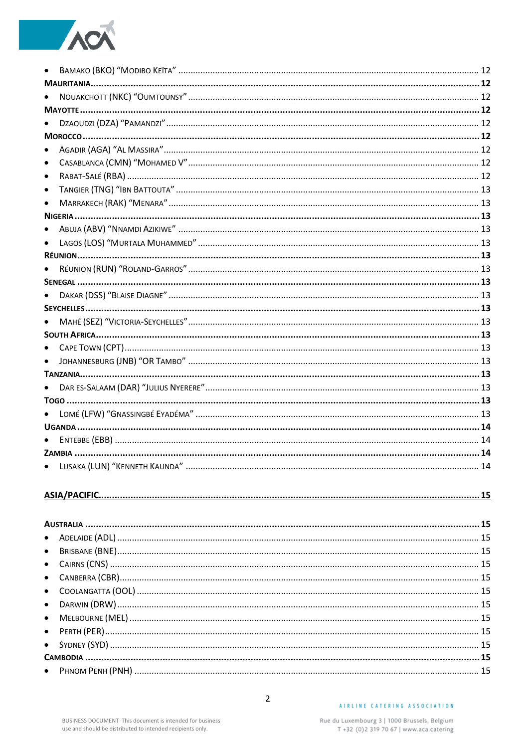

| $\bullet$ |  |
|-----------|--|
| $\bullet$ |  |
| $\bullet$ |  |
|           |  |
|           |  |
|           |  |
|           |  |
|           |  |
|           |  |
|           |  |
|           |  |
|           |  |
|           |  |
|           |  |
| $\bullet$ |  |
|           |  |
|           |  |
|           |  |
|           |  |
|           |  |
|           |  |
|           |  |
|           |  |
|           |  |

####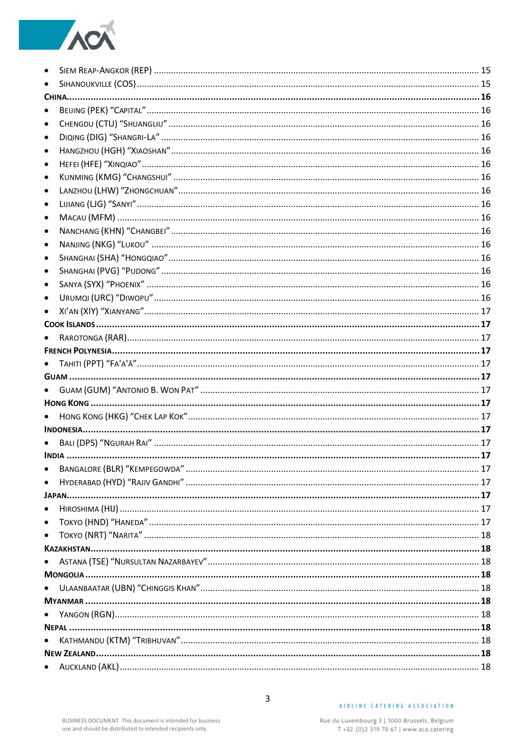# ACA

| $\bullet$ |  |
|-----------|--|
| $\bullet$ |  |
|           |  |
| $\bullet$ |  |
| $\bullet$ |  |
| $\bullet$ |  |
| $\bullet$ |  |
| $\bullet$ |  |
| $\bullet$ |  |
| $\bullet$ |  |
| $\bullet$ |  |
| ٠         |  |
| $\bullet$ |  |
| $\bullet$ |  |
| $\bullet$ |  |
| ٠         |  |
| $\bullet$ |  |
| $\bullet$ |  |
| $\bullet$ |  |
|           |  |
|           |  |
|           |  |
| $\bullet$ |  |
|           |  |
|           |  |
|           |  |
| $\bullet$ |  |
|           |  |
|           |  |
|           |  |
|           |  |
| $\bullet$ |  |
|           |  |
| $\bullet$ |  |
| $\bullet$ |  |
| $\bullet$ |  |
|           |  |
|           |  |
|           |  |
| ٠         |  |
|           |  |
| $\bullet$ |  |
|           |  |
| $\bullet$ |  |
|           |  |
|           |  |
|           |  |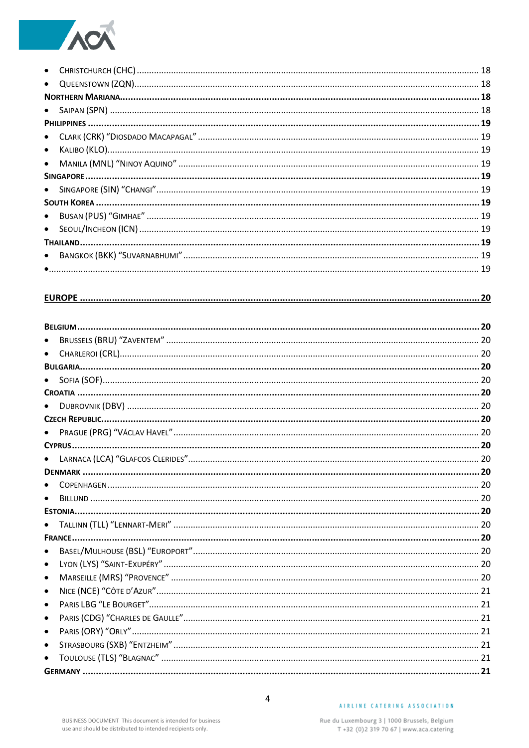# ACT

| $\bullet$ |  |
|-----------|--|
|           |  |
|           |  |
|           |  |
|           |  |
|           |  |
| $\bullet$ |  |
| $\bullet$ |  |
|           |  |
|           |  |
|           |  |
|           |  |
|           |  |
|           |  |
|           |  |
|           |  |
|           |  |
|           |  |
|           |  |
|           |  |
|           |  |
| $\bullet$ |  |
|           |  |
| $\bullet$ |  |
|           |  |
| $\bullet$ |  |
|           |  |
|           |  |
|           |  |
|           |  |
|           |  |
|           |  |
| $\bullet$ |  |
|           |  |
| $\bullet$ |  |
|           |  |
| $\bullet$ |  |
| $\bullet$ |  |
| $\bullet$ |  |
| $\bullet$ |  |
| $\bullet$ |  |
| $\bullet$ |  |
| $\bullet$ |  |
| $\bullet$ |  |
| $\bullet$ |  |
|           |  |
|           |  |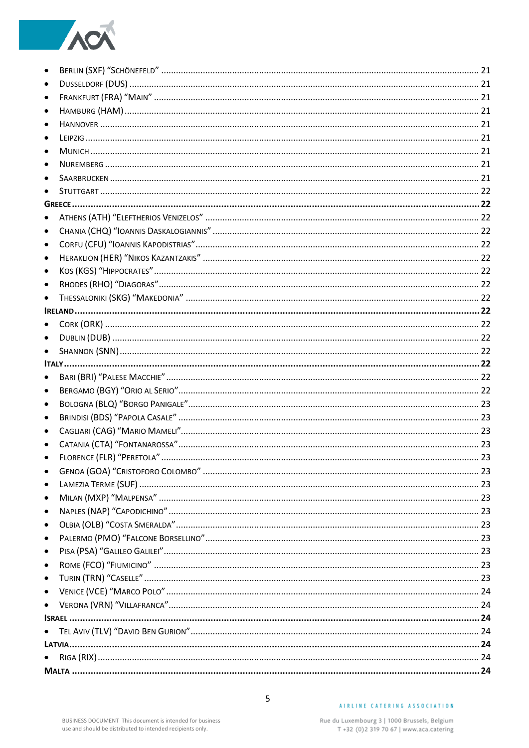# ACA

| $\bullet$ |  |
|-----------|--|
| $\bullet$ |  |
| ٠         |  |
|           |  |
|           |  |
|           |  |
|           |  |
|           |  |
|           |  |
|           |  |
| $\bullet$ |  |
| $\bullet$ |  |
| $\bullet$ |  |
| $\bullet$ |  |
| $\bullet$ |  |
| $\bullet$ |  |
|           |  |
|           |  |
| $\bullet$ |  |
|           |  |
|           |  |
| $\bullet$ |  |
| $\bullet$ |  |
| $\bullet$ |  |
| $\bullet$ |  |
|           |  |
|           |  |
|           |  |
| $\bullet$ |  |
| $\bullet$ |  |
| $\bullet$ |  |
| $\bullet$ |  |
| $\bullet$ |  |
| $\bullet$ |  |
| $\bullet$ |  |
| $\bullet$ |  |
| $\bullet$ |  |
| $\bullet$ |  |
| $\bullet$ |  |
|           |  |
| $\bullet$ |  |
|           |  |
| $\bullet$ |  |
|           |  |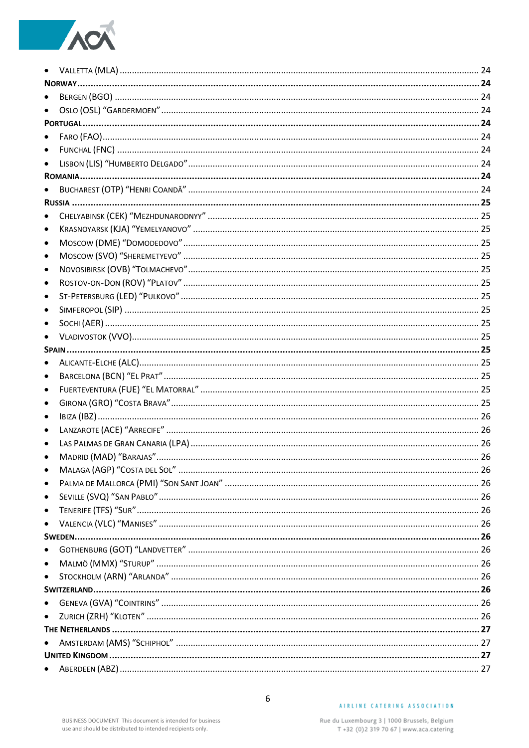# ACA

| $\bullet$ |  |
|-----------|--|
|           |  |
|           |  |
|           |  |
| $\bullet$ |  |
| $\bullet$ |  |
|           |  |
|           |  |
|           |  |
| $\bullet$ |  |
| $\bullet$ |  |
| $\bullet$ |  |
| $\bullet$ |  |
| $\bullet$ |  |
| $\bullet$ |  |
| $\bullet$ |  |
| $\bullet$ |  |
| $\bullet$ |  |
|           |  |
|           |  |
| $\bullet$ |  |
| $\bullet$ |  |
| $\bullet$ |  |
| $\bullet$ |  |
| ٠         |  |
| $\bullet$ |  |
|           |  |
|           |  |
|           |  |
| $\bullet$ |  |
| $\bullet$ |  |
| $\bullet$ |  |
| $\bullet$ |  |
|           |  |
| $\bullet$ |  |
| $\bullet$ |  |
| $\bullet$ |  |
|           |  |
| $\bullet$ |  |
| $\bullet$ |  |
|           |  |
|           |  |
|           |  |
|           |  |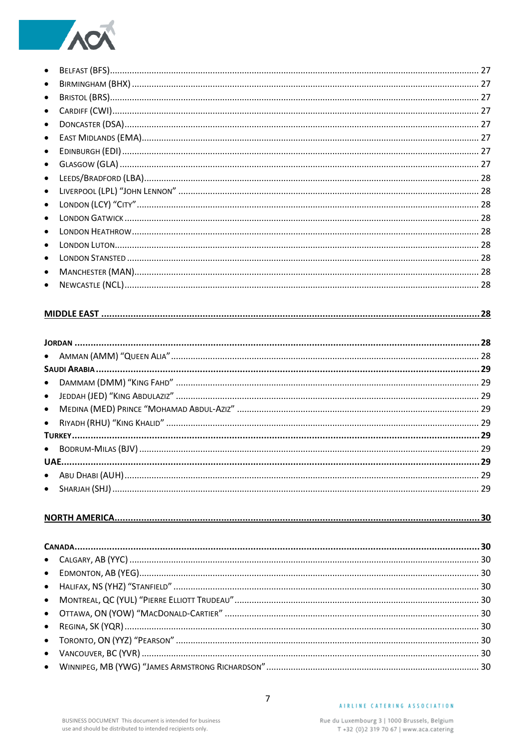## **TANK**

| $\bullet$ |  |
|-----------|--|
| $\bullet$ |  |
| $\bullet$ |  |
| $\bullet$ |  |
| $\bullet$ |  |
| $\bullet$ |  |
| $\bullet$ |  |
| $\bullet$ |  |
| $\bullet$ |  |
| $\bullet$ |  |
| $\bullet$ |  |
| $\bullet$ |  |
| $\bullet$ |  |
| $\bullet$ |  |
| $\bullet$ |  |
| $\bullet$ |  |
| $\bullet$ |  |

#### 

####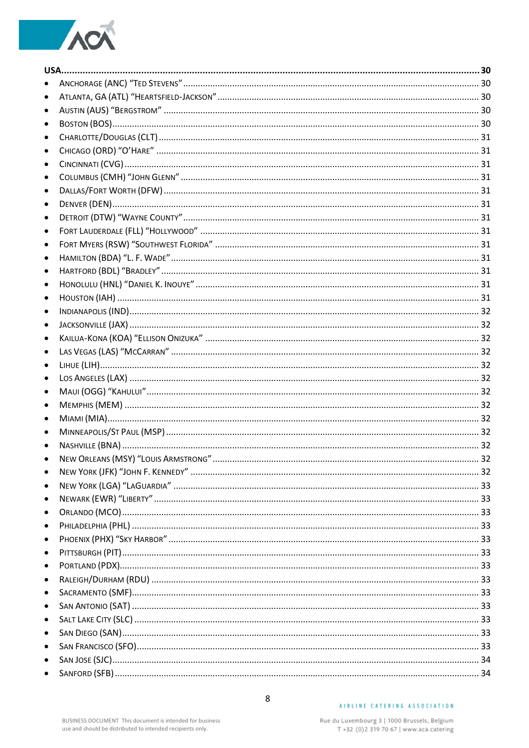# ACA

| $\bullet$ |  |
|-----------|--|
| $\bullet$ |  |
| ٠         |  |
| $\bullet$ |  |
| $\bullet$ |  |
| ٠         |  |
| $\bullet$ |  |
| $\bullet$ |  |
| $\bullet$ |  |
| ٠         |  |
| $\bullet$ |  |
| $\bullet$ |  |
| $\bullet$ |  |
| $\bullet$ |  |
| $\bullet$ |  |
| $\bullet$ |  |
| ٠         |  |
| $\bullet$ |  |
| $\bullet$ |  |
| $\bullet$ |  |
| $\bullet$ |  |
| ٠         |  |
| $\bullet$ |  |
| $\bullet$ |  |
| ٠         |  |
| $\bullet$ |  |
| $\bullet$ |  |
|           |  |
| $\bullet$ |  |
| $\bullet$ |  |
| $\bullet$ |  |
| $\bullet$ |  |
| $\bullet$ |  |
| $\bullet$ |  |
| $\bullet$ |  |
| $\bullet$ |  |
| $\bullet$ |  |
| $\bullet$ |  |
| $\bullet$ |  |
| $\bullet$ |  |
| $\bullet$ |  |
| $\bullet$ |  |
| $\bullet$ |  |
| $\bullet$ |  |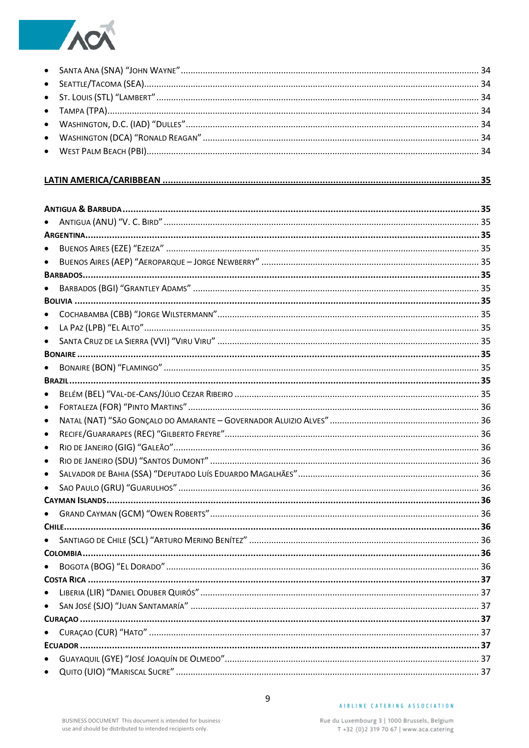

#### 

| $\bullet$ |  |
|-----------|--|
| $\bullet$ |  |
|           |  |
| $\bullet$ |  |
|           |  |
| $\bullet$ |  |
| $\bullet$ |  |
| $\bullet$ |  |
|           |  |
|           |  |
|           |  |
| $\bullet$ |  |
| $\bullet$ |  |
|           |  |
| ٠         |  |
| ٠         |  |
| ٠         |  |
|           |  |
| $\bullet$ |  |
|           |  |
| $\bullet$ |  |
|           |  |
| $\bullet$ |  |
|           |  |
| ٠         |  |
|           |  |
| $\bullet$ |  |
|           |  |
|           |  |
|           |  |
|           |  |
| $\bullet$ |  |
| $\bullet$ |  |

#### AIRLINE CATERING ASSOCIATION

 $\overline{9}$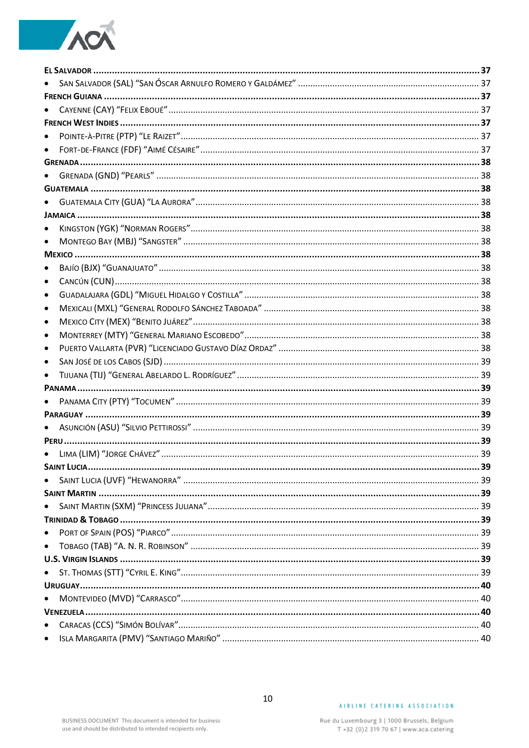# ACA

| $\bullet$ |  |
|-----------|--|
| $\bullet$ |  |
|           |  |
|           |  |
|           |  |
|           |  |
|           |  |
| $\bullet$ |  |
| $\bullet$ |  |
|           |  |
| $\bullet$ |  |
| $\bullet$ |  |
| $\bullet$ |  |
| ٠         |  |
| ٠         |  |
| ٠         |  |
| ٠         |  |
| $\bullet$ |  |
|           |  |
|           |  |
|           |  |
|           |  |
|           |  |
|           |  |
|           |  |
|           |  |
|           |  |
|           |  |
|           |  |
|           |  |
| $\bullet$ |  |
| $\bullet$ |  |
|           |  |
|           |  |
|           |  |
|           |  |
|           |  |
| $\bullet$ |  |
| $\bullet$ |  |
|           |  |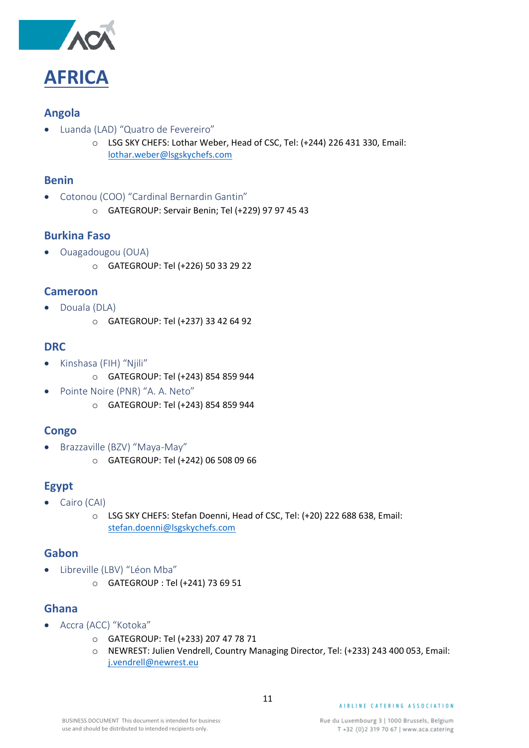

#### <span id="page-10-1"></span><span id="page-10-0"></span>**Angola**

- <span id="page-10-2"></span>• Luanda (LAD) "Quatro de Fevereiro"
	- o LSG SKY CHEFS: Lothar Weber, Head of CSC, Tel: (+244) 226 431 330, Email: [lothar.weber@lsgskychefs.com](mailto:lothar.weber@lsgskychefs.com)

#### <span id="page-10-3"></span>**Benin**

- <span id="page-10-4"></span>• Cotonou (COO) "Cardinal Bernardin Gantin"
	- o GATEGROUP: Servair Benin; Tel (+229) 97 97 45 43

#### <span id="page-10-5"></span>**Burkina Faso**

- <span id="page-10-6"></span>• Ouagadougou (OUA)
	- o GATEGROUP: Tel (+226) 50 33 29 22

#### <span id="page-10-7"></span>**Cameroon**

- <span id="page-10-8"></span>• Douala (DLA)
	- o GATEGROUP: Tel (+237) 33 42 64 92

#### <span id="page-10-9"></span>**DRC**

- <span id="page-10-10"></span>• Kinshasa (FIH) "Njili"
	- o GATEGROUP: Tel (+243) 854 859 944
- <span id="page-10-11"></span>• Pointe Noire (PNR) "A. A. Neto"
	- o GATEGROUP: Tel (+243) 854 859 944

### <span id="page-10-12"></span>**Congo**

- <span id="page-10-13"></span>• Brazzaville (BZV) "Maya-May"
	- o GATEGROUP: Tel (+242) 06 508 09 66

### <span id="page-10-14"></span>**Egypt**

- <span id="page-10-15"></span>• Cairo (CAI)
	- o LSG SKY CHEFS: Stefan Doenni, Head of CSC, Tel: (+20) 222 688 638, Email: [stefan.doenni@lsgskychefs.com](mailto:stefan.doenni@lsgskychefs.com)

#### <span id="page-10-16"></span>**Gabon**

- <span id="page-10-17"></span>• Libreville (LBV) "Léon Mba"
	- o GATEGROUP : Tel (+241) 73 69 51

#### <span id="page-10-18"></span>**Ghana**

- <span id="page-10-19"></span>• Accra (ACC) "Kotoka"
	- o GATEGROUP: Tel (+233) 207 47 78 71
	- o NEWREST: Julien Vendrell, Country Managing Director, Tel: (+233) 243 400 053, Email: [j.vendrell@newrest.eu](mailto:j.vendrell@newrest.eu)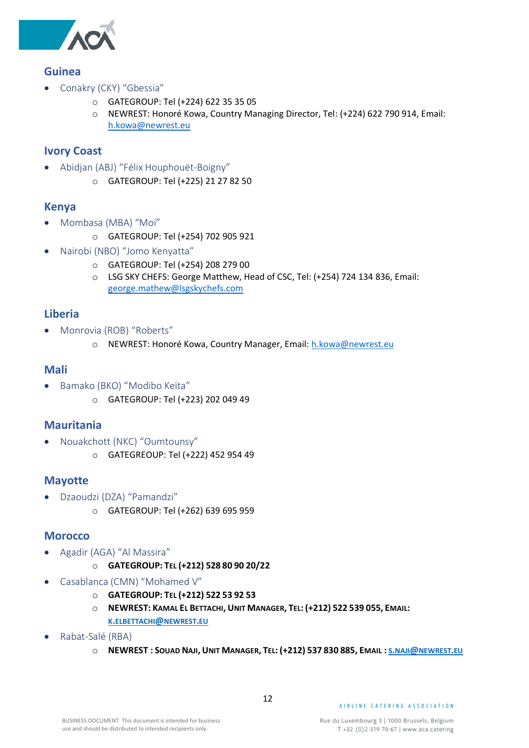

#### <span id="page-11-0"></span>**Guinea**

- <span id="page-11-1"></span>• Conakry (CKY) "Gbessia"
	- o GATEGROUP: Tel (+224) 622 35 35 05
	- o NEWREST: Honoré Kowa, Country Managing Director, Tel: (+224) 622 790 914, Email: [h.kowa@newrest.eu](mailto:h.kowa@newrest.eu)

#### <span id="page-11-2"></span>**Ivory Coast**

- <span id="page-11-3"></span>• Abidjan (ABJ) "Félix Houphouët-Boigny"
	- o GATEGROUP: Tel (+225) 21 27 82 50

#### <span id="page-11-4"></span>**Kenya**

- <span id="page-11-5"></span>• Mombasa (MBA) "Moi"
	- o GATEGROUP: Tel (+254) 702 905 921
- <span id="page-11-6"></span>• Nairobi (NBO) "Jomo Kenyatta"
	- o GATEGROUP: Tel (+254) 208 279 00
	- o LSG SKY CHEFS: George Matthew, Head of CSC, Tel: (+254) 724 134 836, Email: [george.mathew@lsgskychefs.com](mailto:george.mathew@lsgskychefs.com)

#### <span id="page-11-7"></span>**Liberia**

- <span id="page-11-8"></span>• Monrovia (ROB) "Roberts"
	- o NEWREST: Honoré Kowa, Country Manager, Email: [h.kowa@newrest.eu](mailto:h.kowa@newrest.eu)

#### <span id="page-11-9"></span>**Mali**

- <span id="page-11-10"></span>• Bamako (BKO) "Modibo Keïta"
	- o GATEGROUP: Tel (+223) 202 049 49

#### <span id="page-11-11"></span>**Mauritania**

- <span id="page-11-12"></span>• Nouakchott (NKC) "Oumtounsy"
	- o GATEGREOUP: Tel (+222) 452 954 49

#### <span id="page-11-13"></span>**Mayotte**

- <span id="page-11-14"></span>• Dzaoudzi (DZA) "Pamandzi"
	- o GATEGROUP: Tel (+262) 639 695 959

#### <span id="page-11-15"></span>**Morocco**

- <span id="page-11-16"></span>• Agadir (AGA) "Al Massira"
	- o **GATEGROUP: TEL (+212) 528 80 90 20/22**
- <span id="page-11-17"></span>• Casablanca (CMN) "Mohamed V"
	- o **GATEGROUP: TEL (+212) 522 53 92 53**
	- O NEWREST: KAMAL EL BETTACHI, UNIT MANAGER, TEL: (+212) 522 539 055, EMAIL: **K.[ELBETTACHI](mailto:k.elbettachi@newrest.eu)@NEWREST.EU**
- <span id="page-11-18"></span>• Rabat-Salé (RBA)
	- O [NEWREST](mailto:s.naji@newrest.eu): SOUAD NAJI, UNIT MANAGER, TEL: (+212) 537 830 885, EMAIL: S.NAJI@NEWREST.EU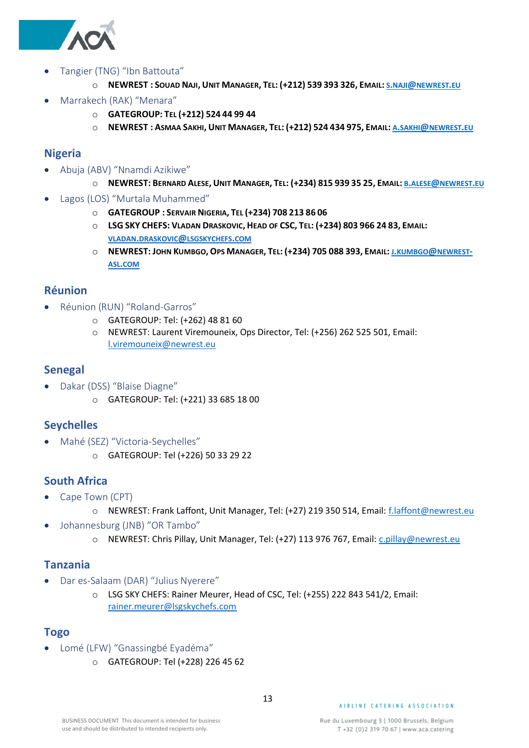

- <span id="page-12-0"></span>• Tangier (TNG) "Ibn Battouta"
	- O [NEWREST](mailto:s.naji@newrest.eu): SOUAD NAJI, UNIT MANAGER, TEL: (+212) 539 393 326, EMAIL: S.NAJI@NEWREST.EU
- <span id="page-12-1"></span>• Marrakech (RAK) "Menara"
	- o **GATEGROUP: TEL (+212) 524 44 99 44**
	- O [NEWREST](mailto:a.sakhi@newrest.eu): ASMAA SAKHI, UNIT MANAGER, TEL: (+212) 524 434 975, EMAIL: A.SAKHI@NEWREST.EU

#### <span id="page-12-2"></span>**Nigeria**

- <span id="page-12-3"></span>• Abuja (ABV) "Nnamdi Azikiwe"
	- O [NEWREST](mailto:b.alese@newrest.eu): BERNARD ALESE, UNIT MANAGER, TEL: (+234) 815 939 35 25, EMAIL: B.ALESE@NEWREST.EU
- <span id="page-12-4"></span>• Lagos (LOS) "Murtala Muhammed"
	- o **GATEGROUP : SERVAIR NIGERIA, TEL (+234) 708 213 86 06**
	- O LSG SKY CHEFS: VLADAN DRASKOVIC, HEAD OF CSC, TEL: (+234) 803 966 24 83, EMAIL: **VLADAN.DRASKOVIC@[LSGSKYCHEFS](mailto:vladan.draskovic@lsgskychefs.com).COM**
	- O [NEWREST](mailto:j.kumbgo@newrest-asl.com): JOHN KUMBGO, OPS MANAGER, TEL: (+234) 705 088 393, EMAIL: J.KUMBGO@NEWREST-**ASL.[COM](mailto:j.kumbgo@newrest-asl.com)**

#### <span id="page-12-5"></span>**Réunion**

- <span id="page-12-6"></span>• Réunion (RUN) "Roland-Garros"
	- o GATEGROUP: Tel: (+262) 48 81 60
	- o NEWREST: Laurent Viremouneix, Ops Director, Tel: (+256) 262 525 501, Email: [l.viremouneix@newrest.eu](mailto:l.viremouneix@newrest.eu)

#### <span id="page-12-7"></span>**Senegal**

- <span id="page-12-8"></span>• Dakar (DSS) "Blaise Diagne"
	- o GATEGROUP: Tel: (+221) 33 685 18 00

#### <span id="page-12-9"></span>**Seychelles**

- <span id="page-12-10"></span>• Mahé (SEZ) "Victoria-Seychelles"
	- o GATEGROUP: Tel (+226) 50 33 29 22

#### <span id="page-12-11"></span>**South Africa**

- <span id="page-12-12"></span>• Cape Town (CPT)
	- o NEWREST: Frank Laffont, Unit Manager, Tel: (+27) 219 350 514, Email: [f.laffont@newrest.eu](mailto:f.laffont@newrest.eu)
- <span id="page-12-13"></span>• Johannesburg (JNB) "OR Tambo"
	- o NEWREST: Chris Pillay, Unit Manager, Tel: (+27) 113 976 767, Email: [c.pillay@newrest.eu](mailto:c.pillay@newrest.eu)

#### <span id="page-12-14"></span>**Tanzania**

- <span id="page-12-15"></span>• Dar es-Salaam (DAR) "Julius Nyerere"
	- o LSG SKY CHEFS: Rainer Meurer, Head of CSC, Tel: (+255) 222 843 541/2, Email: [rainer.meurer@lsgskychefs.com](mailto:rainer.meurer@lsgskychefs.com)

#### <span id="page-12-16"></span>**Togo**

- <span id="page-12-17"></span>• Lomé (LFW) "Gnassingbé Eyadéma"
	- o GATEGROUP: Tel (+228) 226 45 62

#### AIRLINE CATERING ASSOCIATION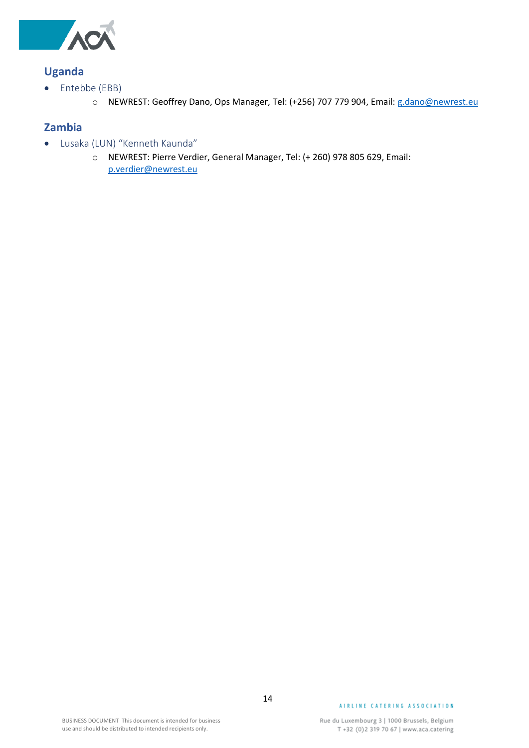

### <span id="page-13-0"></span>**Uganda**

- <span id="page-13-1"></span>• Entebbe (EBB)
	- o NEWREST: Geoffrey Dano, Ops Manager, Tel: (+256) 707 779 904, Email: [g.dano@newrest.eu](mailto:g.dano@newrest.eu)

#### <span id="page-13-2"></span>**Zambia**

- <span id="page-13-3"></span>• Lusaka (LUN) "Kenneth Kaunda"
	- o NEWREST: Pierre Verdier, General Manager, Tel: (+ 260) 978 805 629, Email: [p.verdier@newrest.eu](mailto:p.verdier@newrest.eu)

#### AIRLINE CATERING ASSOCIATION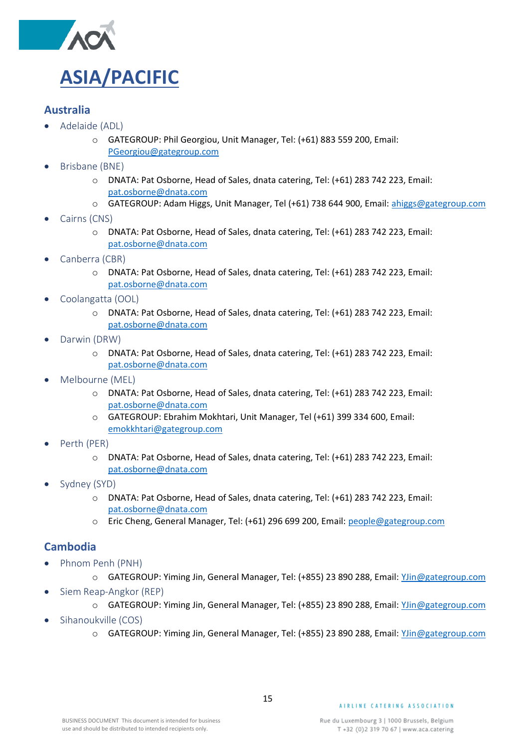

#### <span id="page-14-1"></span><span id="page-14-0"></span>**Australia**

- <span id="page-14-2"></span>• Adelaide (ADL)
	- o GATEGROUP: Phil Georgiou, Unit Manager, Tel: (+61) 883 559 200, Email: [PGeorgiou@gategroup.com](mailto:PGeorgiou@gategroup.com)
- <span id="page-14-3"></span>• Brisbane (BNE)
	- o DNATA: Pat Osborne, Head of Sales, dnata catering, Tel: (+61) 283 742 223, Email: [pat.osborne@dnata.com](mailto:pat.osborne@dnata.com)
	- o GATEGROUP: Adam Higgs, Unit Manager, Tel (+61) 738 644 900, Email: [ahiggs@gategroup.com](mailto:ahiggs@gategroup.com)
- <span id="page-14-4"></span>Cairns (CNS)
	- o DNATA: Pat Osborne, Head of Sales, dnata catering, Tel: (+61) 283 742 223, Email: [pat.osborne@dnata.com](mailto:pat.osborne@dnata.com)
- <span id="page-14-5"></span>Canberra (CBR)
	- o DNATA: Pat Osborne, Head of Sales, dnata catering, Tel: (+61) 283 742 223, Email: [pat.osborne@dnata.com](mailto:pat.osborne@dnata.com)
- <span id="page-14-6"></span>• Coolangatta (OOL)
	- o DNATA: Pat Osborne, Head of Sales, dnata catering, Tel: (+61) 283 742 223, Email: [pat.osborne@dnata.com](mailto:pat.osborne@dnata.com)
- <span id="page-14-7"></span>• Darwin (DRW)
	- o DNATA: Pat Osborne, Head of Sales, dnata catering, Tel: (+61) 283 742 223, Email: [pat.osborne@dnata.com](mailto:pat.osborne@dnata.com)
- <span id="page-14-8"></span>• Melbourne (MEL)
	- o DNATA: Pat Osborne, Head of Sales, dnata catering, Tel: (+61) 283 742 223, Email: [pat.osborne@dnata.com](mailto:pat.osborne@dnata.com)
	- o GATEGROUP: Ebrahim Mokhtari, Unit Manager, Tel (+61) 399 334 600, Email: [emokkhtari@gategroup.com](mailto:emokkhtari@gategroup.com)
- <span id="page-14-9"></span>Perth (PER)
	- o DNATA: Pat Osborne, Head of Sales, dnata catering, Tel: (+61) 283 742 223, Email: [pat.osborne@dnata.com](mailto:pat.osborne@dnata.com)
- <span id="page-14-10"></span>Sydney (SYD)
	- o DNATA: Pat Osborne, Head of Sales, dnata catering, Tel: (+61) 283 742 223, Email: [pat.osborne@dnata.com](mailto:pat.osborne@dnata.com)
	- o Eric Cheng, General Manager, Tel: (+61) 296 699 200, Email: [people@gategroup.com](mailto:people@gategroup.com)

#### <span id="page-14-11"></span>**Cambodia**

- <span id="page-14-12"></span>• Phnom Penh (PNH)
	- o GATEGROUP: Yiming Jin, General Manager, Tel: (+855) 23 890 288, Email: [YJin@gategroup.com](mailto:YJin@gategroup.com)
- <span id="page-14-13"></span>• Siem Reap-Angkor (REP)
	- o GATEGROUP: Yiming Jin, General Manager, Tel: (+855) 23 890 288, Email: [YJin@gategroup.com](mailto:YJin@gategroup.com)
- <span id="page-14-14"></span>• Sihanoukville (COS)
	- o GATEGROUP: Yiming Jin, General Manager, Tel: (+855) 23 890 288, Email: [YJin@gategroup.com](mailto:YJin@gategroup.com)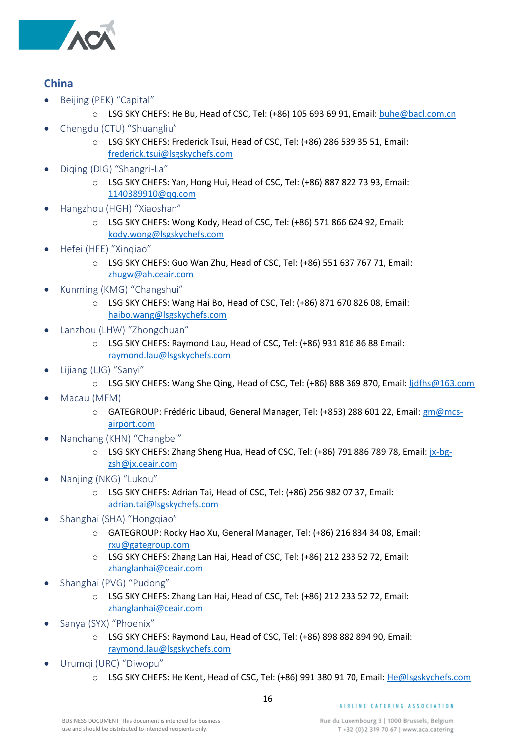

### <span id="page-15-0"></span>**China**

- <span id="page-15-1"></span>• Beijing (PEK) "Capital"
	- o LSG SKY CHEFS: He Bu, Head of CSC, Tel: (+86) 105 693 69 91, Email: [buhe@bacl.com.cn](mailto:buhe@bacl.com.cn)
- <span id="page-15-2"></span>• Chengdu (CTU) "Shuangliu"
	- o LSG SKY CHEFS: Frederick Tsui, Head of CSC, Tel: (+86) 286 539 35 51, Email: [frederick.tsui@lsgskychefs.com](mailto:frederick.tsui@lsgskychefs.com)
- <span id="page-15-3"></span>• Diqing (DIG) "Shangri-La"
	- o LSG SKY CHEFS: Yan, Hong Hui, Head of CSC, Tel: (+86) 887 822 73 93, Email: [1140389910@qq.com](mailto:1140389910@qq.com)
- <span id="page-15-4"></span>• Hangzhou (HGH) "Xiaoshan"
	- o LSG SKY CHEFS: Wong Kody, Head of CSC, Tel: (+86) 571 866 624 92, Email: [kody.wong@lsgskychefs.com](mailto:kody.wong@lsgskychefs.com)
- <span id="page-15-5"></span>• Hefei (HFE) "Xinqiao"
	- o LSG SKY CHEFS: Guo Wan Zhu, Head of CSC, Tel: (+86) 551 637 767 71, Email: [zhugw@ah.ceair.com](mailto:zhugw@ah.ceair.com)
- <span id="page-15-6"></span>• Kunming (KMG) "Changshui"
	- o LSG SKY CHEFS: Wang Hai Bo, Head of CSC, Tel: (+86) 871 670 826 08, Email: [haibo.wang@lsgskychefs.com](mailto:haibo.wang@lsgskychefs.com)
- <span id="page-15-7"></span>• Lanzhou (LHW) "Zhongchuan"
	- o LSG SKY CHEFS: Raymond Lau, Head of CSC, Tel: (+86) 931 816 86 88 Email: [raymond.lau@lsgskychefs.com](mailto:raymond.lau@lsgskychefs.com)
- <span id="page-15-8"></span>• Lijiang (LJG) "Sanyi"
	- o LSG SKY CHEFS: Wang She Qing, Head of CSC, Tel: (+86) 888 369 870, Email: [ljdfhs@163.com](mailto:ljdfhs@163.com)
- <span id="page-15-9"></span>• Macau (MFM)
	- o GATEGROUP: Frédéric Libaud, General Manager, Tel: (+853) 288 601 22, Email: [gm@mcs](mailto:gm@mcs-airport.com)[airport.com](mailto:gm@mcs-airport.com)
- <span id="page-15-10"></span>• Nanchang (KHN) "Changbei"
	- o LSG SKY CHEFS: Zhang Sheng Hua, Head of CSC, Tel: (+86) 791 886 789 78, Email: [jx-bg](mailto:jx-bg-zsh@jx.ceair.com)[zsh@jx.ceair.com](mailto:jx-bg-zsh@jx.ceair.com)
- <span id="page-15-11"></span>• Nanjing (NKG) "Lukou"
	- o LSG SKY CHEFS: Adrian Tai, Head of CSC, Tel: (+86) 256 982 07 37, Email: [adrian.tai@lsgskychefs.com](mailto:adrian.tai@lsgskychefs.com)
- <span id="page-15-12"></span>• Shanghai (SHA) "Hongqiao"
	- o GATEGROUP: Rocky Hao Xu, General Manager, Tel: (+86) 216 834 34 08, Email: [rxu@gategroup.com](mailto:rxu@gategroup.com)
	- o LSG SKY CHEFS: Zhang Lan Hai, Head of CSC, Tel: (+86) 212 233 52 72, Email: [zhanglanhai@ceair.com](mailto:zhanglanhai@ceair.com)
- <span id="page-15-13"></span>• Shanghai (PVG) "Pudong"
	- o LSG SKY CHEFS: Zhang Lan Hai, Head of CSC, Tel: (+86) 212 233 52 72, Email: [zhanglanhai@ceair.com](mailto:zhanglanhai@ceair.com)
- <span id="page-15-14"></span>• Sanya (SYX) "Phoenix"
	- o LSG SKY CHEFS: Raymond Lau, Head of CSC, Tel: (+86) 898 882 894 90, Email: [raymond.lau@lsgskychefs.com](mailto:raymond.lau@lsgskychefs.com)
- <span id="page-15-15"></span>• Urumqi (URC) "Diwopu"
	- o LSG SKY CHEFS: He Kent, Head of CSC, Tel: (+86) 991 380 91 70, Email: [He@lsgskychefs.com](mailto:He@lsgskychefs.com)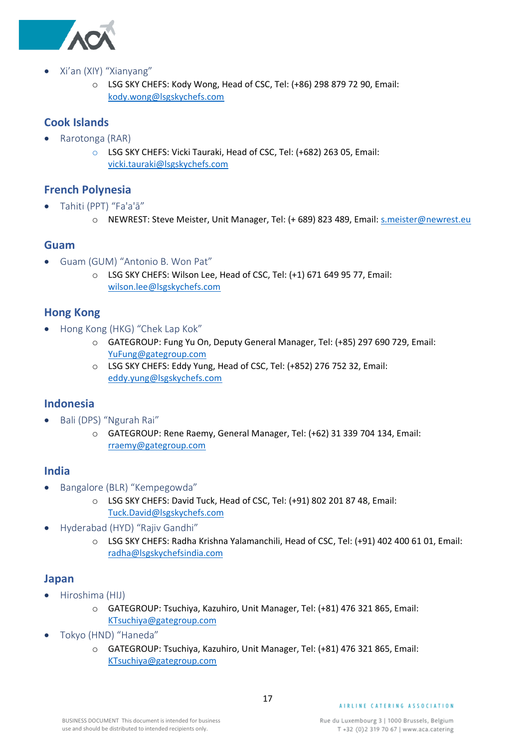

- <span id="page-16-0"></span>• Xi'an (XIY) "Xianyang"
	- o LSG SKY CHEFS: Kody Wong, Head of CSC, Tel: (+86) 298 879 72 90, Email: [kody.wong@lsgskychefs.com](mailto:kody.wong@lsgskychefs.com)

#### <span id="page-16-1"></span>**Cook Islands**

- <span id="page-16-2"></span>• Rarotonga (RAR)
	- o LSG SKY CHEFS: Vicki Tauraki, Head of CSC, Tel: (+682) 263 05, Email: [vicki.tauraki@lsgskychefs.com](mailto:vicki.tauraki@lsgskychefs.com)

#### <span id="page-16-3"></span>**French Polynesia**

- <span id="page-16-4"></span>• Tahiti (PPT) "Fa'a'ā"
	- o NEWREST: Steve Meister, Unit Manager, Tel: (+ 689) 823 489, Email: [s.meister@newrest.eu](mailto:s.meister@newrest.eu)

#### <span id="page-16-5"></span>**Guam**

- <span id="page-16-6"></span>• Guam (GUM) "Antonio B. Won Pat"
	- o LSG SKY CHEFS: Wilson Lee, Head of CSC, Tel: (+1) 671 649 95 77, Email: [wilson.lee@lsgskychefs.com](mailto:wilson.lee@lsgskychefs.com)

#### <span id="page-16-7"></span>**Hong Kong**

- <span id="page-16-8"></span>• Hong Kong (HKG) "Chek Lap Kok"
	- o GATEGROUP: Fung Yu On, Deputy General Manager, Tel: (+85) 297 690 729, Email: [YuFung@gategroup.com](mailto:YuFung@gategroup.com)
	- o LSG SKY CHEFS: Eddy Yung, Head of CSC, Tel: (+852) 276 752 32, Email: [eddy.yung@lsgskychefs.com](mailto:eddy.yung@lsgskychefs.com)

#### <span id="page-16-9"></span>**Indonesia**

- <span id="page-16-10"></span>• Bali (DPS) "Ngurah Rai"
	- o GATEGROUP: Rene Raemy, General Manager, Tel: (+62) 31 339 704 134, Email: [rraemy@gategroup.com](mailto:rraemy@gategroup.com)

#### <span id="page-16-11"></span>**India**

- <span id="page-16-12"></span>• Bangalore (BLR) "Kempegowda"
	- o LSG SKY CHEFS: David Tuck, Head of CSC, Tel: (+91) 802 201 87 48, Email: [Tuck.David@lsgskychefs.com](mailto:Tuck.David@lsgskychefs.com)
- <span id="page-16-13"></span>• Hyderabad (HYD) "Rajiv Gandhi"
	- o LSG SKY CHEFS: Radha Krishna Yalamanchili, Head of CSC, Tel: (+91) 402 400 61 01, Email: [radha@lsgskychefsindia.com](mailto:radha@lsgskychefsindia.com)

#### <span id="page-16-14"></span>**Japan**

- <span id="page-16-15"></span>• Hiroshima (HIJ)
	- o GATEGROUP: Tsuchiya, Kazuhiro, Unit Manager, Tel: (+81) 476 321 865, Email: [KTsuchiya@gategroup.com](mailto:KTsuchiya@gategroup.com)
- <span id="page-16-16"></span>• Tokyo (HND) "Haneda"
	- o GATEGROUP: Tsuchiya, Kazuhiro, Unit Manager, Tel: (+81) 476 321 865, Email: [KTsuchiya@gategroup.com](mailto:KTsuchiya@gategroup.com)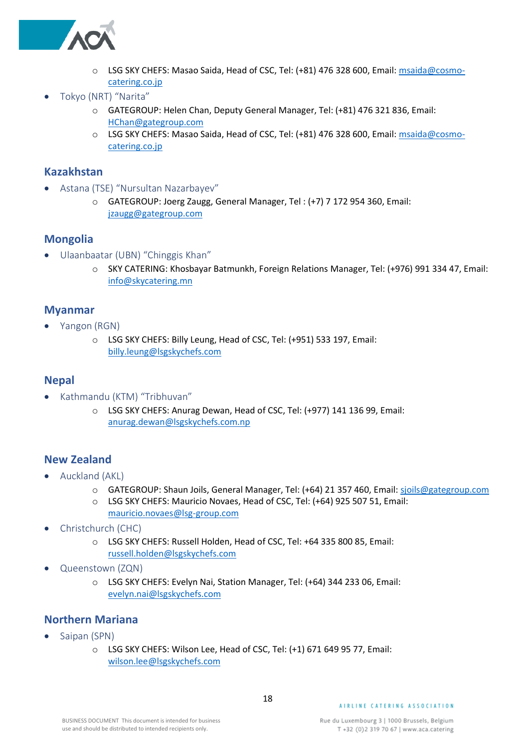

- o LSG SKY CHEFS: Masao Saida, Head of CSC, Tel: (+81) 476 328 600, Email: [msaida@cosmo](mailto:msaida@cosmo-catering.co.jp)[catering.co.jp](mailto:msaida@cosmo-catering.co.jp)
- <span id="page-17-0"></span>• Tokyo (NRT) "Narita"
	- o GATEGROUP: Helen Chan, Deputy General Manager, Tel: (+81) 476 321 836, Email: [HChan@gategroup.com](mailto:HChan@gategroup.com)
	- o LSG SKY CHEFS: Masao Saida, Head of CSC, Tel: (+81) 476 328 600, Email: [msaida@cosmo](mailto:msaida@cosmo-catering.co.jp)[catering.co.jp](mailto:msaida@cosmo-catering.co.jp)

#### <span id="page-17-1"></span>**Kazakhstan**

- <span id="page-17-2"></span>• Astana (TSE) "Nursultan Nazarbayev"
	- o GATEGROUP: Joerg Zaugg, General Manager, Tel : (+7) 7 172 954 360, Email: [jzaugg@gategroup.com](mailto:jzaugg@gategroup.com)

#### <span id="page-17-3"></span>**Mongolia**

- <span id="page-17-4"></span>• Ulaanbaatar (UBN) "Chinggis Khan"
	- o SKY CATERING: Khosbayar Batmunkh, Foreign Relations Manager, Tel: (+976) 991 334 47, Email: [info@skycatering.mn](mailto:info@skycatering.mn)

#### <span id="page-17-5"></span>**Myanmar**

- <span id="page-17-6"></span>• Yangon (RGN)
	- o LSG SKY CHEFS: Billy Leung, Head of CSC, Tel: (+951) 533 197, Email: [billy.leung@lsgskychefs.com](mailto:billy.leung@lsgskychefs.com)

#### <span id="page-17-7"></span>**Nepal**

- <span id="page-17-8"></span>• Kathmandu (KTM) "Tribhuvan"
	- o LSG SKY CHEFS: Anurag Dewan, Head of CSC, Tel: (+977) 141 136 99, Email: [anurag.dewan@lsgskychefs.com.np](mailto:anurag.dewan@lsgskychefs.com.np)

#### <span id="page-17-9"></span>**New Zealand**

- <span id="page-17-10"></span>• Auckland (AKL)
	- o GATEGROUP: Shaun Joils, General Manager, Tel: (+64) 21 357 460, Email[: sjoils@gategroup.com](mailto:sjoils@gategroup.com)
	- o LSG SKY CHEFS: Mauricio Novaes, Head of CSC, Tel: (+64) 925 507 51, Email: [mauricio.novaes@lsg-group.com](mailto:mauricio.novaes@lsg-group.com)
- <span id="page-17-11"></span>• Christchurch (CHC)
	- o LSG SKY CHEFS: Russell Holden, Head of CSC, Tel: +64 335 800 85, Email: [russell.holden@lsgskychefs.com](mailto:russell.holden@lsgskychefs.com)
- <span id="page-17-12"></span>• Queenstown (ZQN)
	- o LSG SKY CHEFS: Evelyn Nai, Station Manager, Tel: (+64) 344 233 06, Email: [evelyn.nai@lsgskychefs.com](mailto:evelyn.nai@lsgskychefs.com)

### <span id="page-17-13"></span>**Northern Mariana**

- <span id="page-17-14"></span>Saipan (SPN)
	- o LSG SKY CHEFS: Wilson Lee, Head of CSC, Tel: (+1) 671 649 95 77, Email: [wilson.lee@lsgskychefs.com](mailto:wilson.lee@lsgskychefs.com)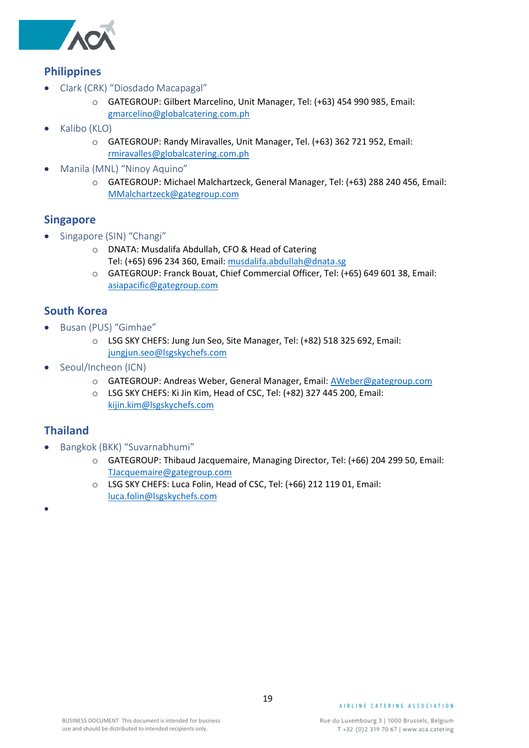

### <span id="page-18-0"></span>**Philippines**

- <span id="page-18-1"></span>• Clark (CRK) "Diosdado Macapagal"
	- o GATEGROUP: Gilbert Marcelino, Unit Manager, Tel: (+63) 454 990 985, Email: [gmarcelino@globalcatering.com.ph](mailto:gmarcelino@globalcatering.com.ph)
- <span id="page-18-2"></span>• Kalibo (KLO)
	- o GATEGROUP: Randy Miravalles, Unit Manager, Tel. (+63) 362 721 952, Email: [rmiravalles@globalcatering.com.ph](mailto:rmiravalles@globalcatering.com.ph)
- <span id="page-18-3"></span>• Manila (MNL) "Ninoy Aquino"
	- o GATEGROUP: Michael Malchartzeck, General Manager, Tel: (+63) 288 240 456, Email: [MMalchartzeck@gategroup.com](mailto:MMalchartzeck@gategroup.com)

#### <span id="page-18-4"></span>**Singapore**

- <span id="page-18-5"></span>• Singapore (SIN) "Changi"
	- o DNATA: Musdalifa Abdullah, CFO & Head of Catering Tel: (+65) 696 234 360, Email: [musdalifa.abdullah@dnata.sg](mailto:musdalifa.abdullah@dnata.sg)
	- o GATEGROUP: Franck Bouat, Chief Commercial Officer, Tel: (+65) 649 601 38, Email: [asiapacific@gategroup.com](mailto:asiapacific@gategroup.com)

#### <span id="page-18-6"></span>**South Korea**

- <span id="page-18-7"></span>• Busan (PUS) "Gimhae"
	- o LSG SKY CHEFS: Jung Jun Seo, Site Manager, Tel: (+82) 518 325 692, Email: [jungjun.seo@lsgskychefs.com](mailto:jungjun.seo@lsgskychefs.com)
- <span id="page-18-8"></span>• Seoul/Incheon (ICN)
	- o GATEGROUP: Andreas Weber, General Manager, Email: [AWeber@gategroup.com](mailto:AWeber@gategroup.com)
	- o LSG SKY CHEFS: Ki Jin Kim, Head of CSC, Tel: (+82) 327 445 200, Email: [kijin.kim@lsgskychefs.com](mailto:kijin.kim@lsgskychefs.com)

#### <span id="page-18-9"></span>**Thailand**

<span id="page-18-11"></span>•

- <span id="page-18-10"></span>• Bangkok (BKK) "Suvarnabhumi"
	- o GATEGROUP: Thibaud Jacquemaire, Managing Director, Tel: (+66) 204 299 50, Email: [TJacquemaire@gategroup.com](mailto:TJacquemaire@gategroup.com)
	- o LSG SKY CHEFS: Luca Folin, Head of CSC, Tel: (+66) 212 119 01, Email: [luca.folin@lsgskychefs.com](mailto:luca.folin@lsgskychefs.com)

#### AIRLINE CATERING ASSOCIATION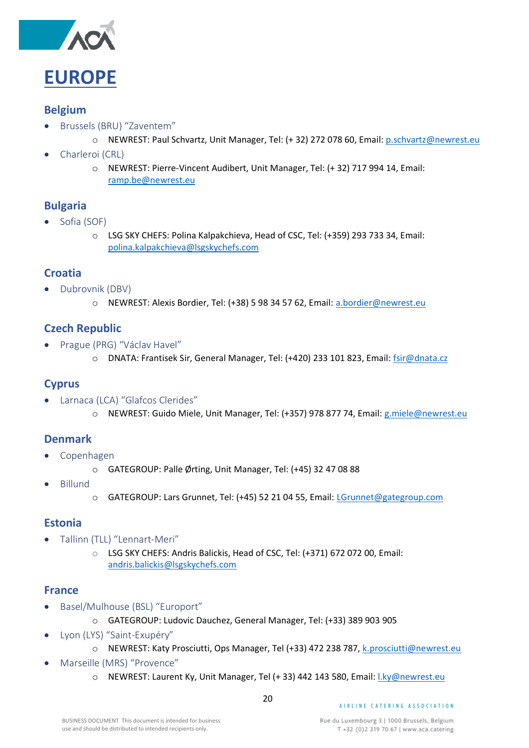

#### <span id="page-19-1"></span><span id="page-19-0"></span>**Belgium**

- <span id="page-19-2"></span>• Brussels (BRU) "Zaventem"
	- o NEWREST: Paul Schvartz, Unit Manager, Tel: (+ 32) 272 078 60, Email: [p.schvartz@newrest.eu](mailto:s.bousquet@newrest.eu)
- <span id="page-19-3"></span>• Charleroi (CRL)
	- o NEWREST: Pierre-Vincent Audibert, Unit Manager, Tel: (+ 32) 717 994 14, Email: [ramp.be@newrest.eu](mailto:ramp.be@newrest.eu)

#### <span id="page-19-4"></span>**Bulgaria**

- <span id="page-19-5"></span>Sofia (SOF)
	- o LSG SKY CHEFS: Polina Kalpakchieva, Head of CSC, Tel: (+359) 293 733 34, Email: [polina.kalpakchieva@lsgskychefs.com](mailto:polina.kalpakchieva@lsgskychefs.com)

#### <span id="page-19-6"></span>**Croatia**

- <span id="page-19-7"></span>• Dubrovnik (DBV)
	- o NEWREST: Alexis Bordier, Tel: (+38) 5 98 34 57 62, Email: [a.bordier@newrest.eu](mailto:a.bordier@newrest.eu)

#### <span id="page-19-8"></span>**Czech Republic**

- <span id="page-19-9"></span>• Prague (PRG) "Václav Havel"
	- o DNATA: Frantisek Sir, General Manager, Tel: (+420) 233 101 823, Email: [fsir@dnata.cz](mailto:fsir@dnata.cz)

#### <span id="page-19-10"></span>**Cyprus**

- <span id="page-19-11"></span>• Larnaca (LCA) "Glafcos Clerides"
	- o NEWREST: Guido Miele, Unit Manager, Tel: (+357) 978 877 74, Email: [g.miele@newrest.eu](mailto:g.miele@newrest.eu)

#### <span id="page-19-12"></span>**Denmark**

- <span id="page-19-13"></span>• Copenhagen
	- o GATEGROUP: Palle Ørting, Unit Manager, Tel: (+45) 32 47 08 88
- <span id="page-19-14"></span>• Billund
- o GATEGROUP: Lars Grunnet, Tel: (+45) 52 21 04 55, Email: [LGrunnet@gategroup.com](mailto:LGrunnet@gategroup.com)

#### <span id="page-19-15"></span>**Estonia**

- <span id="page-19-16"></span>• Tallinn (TLL) "Lennart-Meri"
	- o LSG SKY CHEFS: Andris Balickis, Head of CSC, Tel: (+371) 672 072 00, Email: [andris.balickis@lsgskychefs.com](mailto:andris.balickis@lsgskychefs.com)

#### <span id="page-19-17"></span>**France**

- <span id="page-19-18"></span>• Basel/Mulhouse (BSL) "Europort"
	- o GATEGROUP: Ludovic Dauchez, General Manager, Tel: (+33) 389 903 905
- <span id="page-19-19"></span>• Lyon (LYS) "Saint-Exupéry"
	- o NEWREST: Katy Prosciutti, Ops Manager, Tel (+33) 472 238 787, [k.prosciutti@newrest.eu](mailto:k.prosciutti@newrest.eu)
- <span id="page-19-20"></span>• Marseille (MRS) "Provence"
	- o NEWREST: Laurent Ky, Unit Manager, Tel (+ 33) 442 143 580, Email: [l.ky@newrest.eu](mailto:l.ky@newrest.eu)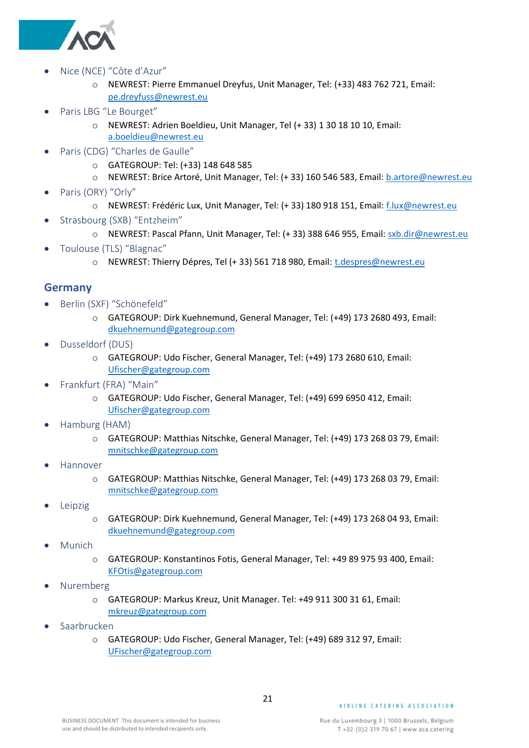

- <span id="page-20-0"></span>• Nice (NCE) "Côte d'Azur"
	- o NEWREST: Pierre Emmanuel Dreyfus, Unit Manager, Tel: (+33) 483 762 721, Email: [pe.dreyfuss@newrest.eu](mailto:pe.dreyfuss@newrest.eu)
- <span id="page-20-1"></span>• Paris LBG "Le Bourget"
	- o NEWREST: Adrien Boeldieu, Unit Manager, Tel (+ 33) 1 30 18 10 10, Email: [a.boeldieu@newrest.eu](mailto:a.boeldieu@newrest.eu)
- <span id="page-20-2"></span>• Paris (CDG) "Charles de Gaulle"
	- o GATEGROUP: Tel: (+33) 148 648 585
	- o NEWREST: Brice Artoré, Unit Manager, Tel: (+ 33) 160 546 583, Email[: b.artore@newrest.eu](mailto:b.artore@newrest.eu)
- <span id="page-20-3"></span>• Paris (ORY) "Orly"
	- o NEWREST: Frédéric Lux, Unit Manager, Tel: (+ 33) 180 918 151, Email: [f.lux@newrest.eu](mailto:f.lux@newrest.eu)
- <span id="page-20-4"></span>• Strasbourg (SXB) "Entzheim"
	- o NEWREST: Pascal Pfann, Unit Manager, Tel: (+ 33) 388 646 955, Email[: sxb.dir@newrest.eu](mailto:sxb.dir@newrest.eu)
- <span id="page-20-5"></span>• Toulouse (TLS) "Blagnac"
	- o NEWREST: Thierry Dépres, Tel (+ 33) 561 718 980, Email: [t.despres@newrest.eu](mailto:t.despres@newrest.eu)

#### <span id="page-20-6"></span>**Germany**

- <span id="page-20-7"></span>• Berlin (SXF) "Schönefeld"
	- o GATEGROUP: Dirk Kuehnemund, General Manager, Tel: (+49) 173 2680 493, Email: [dkuehnemund@gategroup.com](mailto:dkuehnemund@gategroup.com)
- <span id="page-20-8"></span>• Dusseldorf (DUS)
	- o GATEGROUP: Udo Fischer, General Manager, Tel: (+49) 173 2680 610, Email: [Ufischer@gategroup.com](mailto:Ufischer@gategroup.com)
- <span id="page-20-9"></span>• Frankfurt (FRA) "Main"
	- o GATEGROUP: Udo Fischer, General Manager, Tel: (+49) 699 6950 412, Email: [Ufischer@gategroup.com](mailto:Ufischer@gategroup.com)
- <span id="page-20-10"></span>• Hamburg (HAM)
	- o GATEGROUP: Matthias Nitschke, General Manager, Tel: (+49) 173 268 03 79, Email: [mnitschke@gategroup.com](mailto:mnitschke@gategroup.com)
- <span id="page-20-11"></span>• Hannover
	- o GATEGROUP: Matthias Nitschke, General Manager, Tel: (+49) 173 268 03 79, Email: [mnitschke@gategroup.com](mailto:mnitschke@gategroup.com)
- <span id="page-20-12"></span>**Leipzig** 
	- o GATEGROUP: Dirk Kuehnemund, General Manager, Tel: (+49) 173 268 04 93, Email: [dkuehnemund@gategroup.com](mailto:dkuehnemund@gategroup.com)
- <span id="page-20-13"></span>• Munich
	- o GATEGROUP: Konstantinos Fotis, General Manager, Tel: +49 89 975 93 400, Email: [KFOtis@gategroup.com](mailto:KFOtis@gategroup.com)
- <span id="page-20-14"></span>• Nuremberg
	- o GATEGROUP: Markus Kreuz, Unit Manager. Tel: +49 911 300 31 61, Email: [mkreuz@gategroup.com](mailto:mkreuz@gategroup.com)
- <span id="page-20-15"></span>• Saarbrucken
	- o GATEGROUP: Udo Fischer, General Manager, Tel: (+49) 689 312 97, Email: [UFischer@gategroup.com](mailto:UFischer@gategroup.com)

21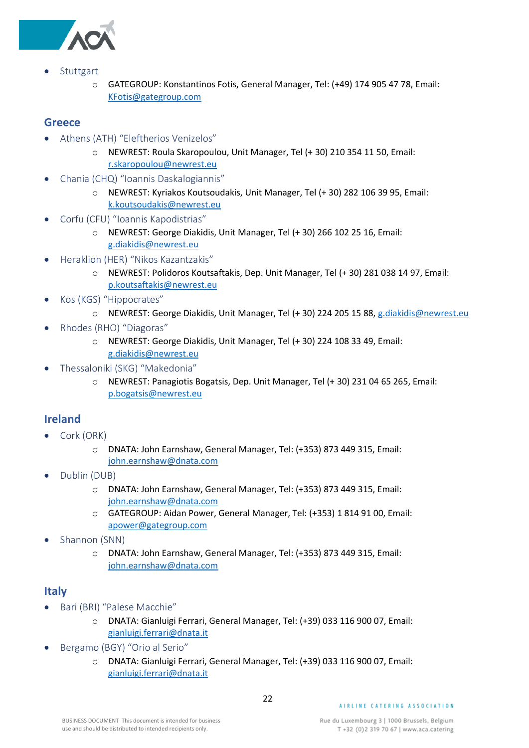

- <span id="page-21-0"></span>**Stuttgart** 
	- o GATEGROUP: Konstantinos Fotis, General Manager, Tel: (+49) 174 905 47 78, Email: [KFotis@gategroup.com](mailto:KFotis@gategroup.com)

#### <span id="page-21-1"></span>**Greece**

- <span id="page-21-2"></span>• Athens (ATH) "Eleftherios Venizelos"
	- o NEWREST: Roula Skaropoulou, Unit Manager, Tel (+ 30) 210 354 11 50, Email: [r.skaropoulou@newrest.eu](mailto:r.skaropoulou@newrest.eu)
- <span id="page-21-3"></span>• Chania (CHQ) "Ioannis Daskalogiannis"
	- o NEWREST: Kyriakos Koutsoudakis, Unit Manager, Tel (+ 30) 282 106 39 95, Email: [k.koutsoudakis@newrest.eu](mailto:k.koutsoudakis@newrest.eu)
- <span id="page-21-4"></span>• Corfu (CFU) "Ioannis Kapodistrias"
	- o NEWREST: George Diakidis, Unit Manager, Tel (+ 30) 266 102 25 16, Email: [g.diakidis@newrest.eu](mailto:g.diakidis@newrest.eu)
- <span id="page-21-5"></span>• Heraklion (HER) "Nikos Kazantzakis"
	- o NEWREST: Polidoros Koutsaftakis, Dep. Unit Manager, Tel (+ 30) 281 038 14 97, Email: [p.koutsaftakis@newrest.eu](mailto:p.koutsaftakis@newrest.eu)
- <span id="page-21-6"></span>• Kos (KGS) "Hippocrates"
	- o NEWREST: George Diakidis, Unit Manager, Tel (+ 30) 224 205 15 88, [g.diakidis@newrest.eu](mailto:g.diakidis@newrest.eu)
- <span id="page-21-7"></span>• Rhodes (RHO) "Diagoras"
	- o NEWREST: George Diakidis, Unit Manager, Tel (+ 30) 224 108 33 49, Email: [g.diakidis@newrest.eu](mailto:g.diakidis@newrest.eu)
- <span id="page-21-8"></span>• Thessaloniki (SKG) "Makedonia"
	- o NEWREST: Panagiotis Bogatsis, Dep. Unit Manager, Tel (+ 30) 231 04 65 265, Email: [p.bogatsis@newrest.eu](mailto:p.bogatsis@newrest.eu)

#### <span id="page-21-9"></span>**Ireland**

- <span id="page-21-10"></span>• Cork (ORK)
	- o DNATA: John Earnshaw, General Manager, Tel: (+353) 873 449 315, Email: [john.earnshaw@dnata.com](mailto:john.earnshaw@dnata.com)
- <span id="page-21-11"></span>• Dublin (DUB)
	- o DNATA: John Earnshaw, General Manager, Tel: (+353) 873 449 315, Email: [john.earnshaw@dnata.com](mailto:john.earnshaw@dnata.com)
	- o GATEGROUP: Aidan Power, General Manager, Tel: (+353) 1 814 91 00, Email: [apower@gategroup.com](mailto:apower@gategroup.com)
- <span id="page-21-12"></span>• Shannon (SNN)
	- o DNATA: John Earnshaw, General Manager, Tel: (+353) 873 449 315, Email: [john.earnshaw@dnata.com](mailto:john.earnshaw@dnata.com)

#### <span id="page-21-13"></span>**Italy**

- <span id="page-21-14"></span>• Bari (BRI) "Palese Macchie"
	- o DNATA: Gianluigi Ferrari, General Manager, Tel: (+39) 033 116 900 07, Email: [gianluigi.ferrari@dnata.it](mailto:gianluigi.ferrari@dnata.it)
- <span id="page-21-15"></span>• Bergamo (BGY) "Orio al Serio"
	- o DNATA: Gianluigi Ferrari, General Manager, Tel: (+39) 033 116 900 07, Email: [gianluigi.ferrari@dnata.it](mailto:gianluigi.ferrari@dnata.it)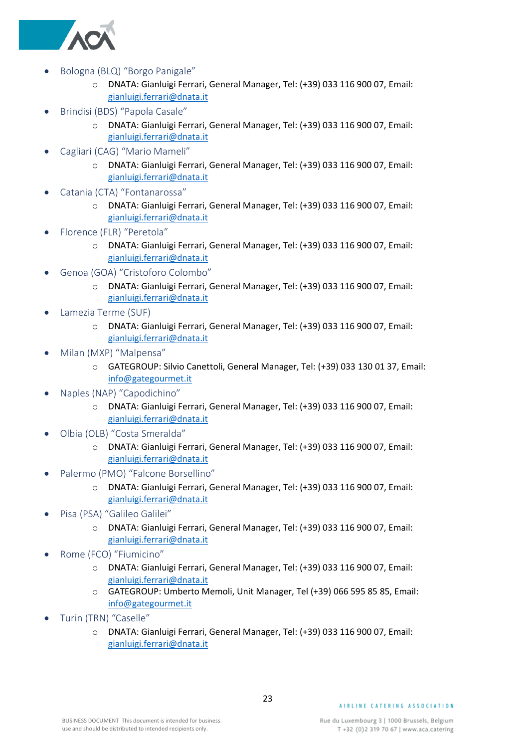

- <span id="page-22-0"></span>• Bologna (BLQ) "Borgo Panigale"
	- o DNATA: Gianluigi Ferrari, General Manager, Tel: (+39) 033 116 900 07, Email: [gianluigi.ferrari@dnata.it](mailto:gianluigi.ferrari@dnata.it)
- <span id="page-22-1"></span>• Brindisi (BDS) "Papola Casale"
	- o DNATA: Gianluigi Ferrari, General Manager, Tel: (+39) 033 116 900 07, Email: [gianluigi.ferrari@dnata.it](mailto:gianluigi.ferrari@dnata.it)
- <span id="page-22-2"></span>• Cagliari (CAG) "Mario Mameli"
	- o DNATA: Gianluigi Ferrari, General Manager, Tel: (+39) 033 116 900 07, Email: [gianluigi.ferrari@dnata.it](mailto:gianluigi.ferrari@dnata.it)
- <span id="page-22-3"></span>• Catania (CTA) "Fontanarossa"
	- o DNATA: Gianluigi Ferrari, General Manager, Tel: (+39) 033 116 900 07, Email: [gianluigi.ferrari@dnata.it](mailto:gianluigi.ferrari@dnata.it)
- <span id="page-22-4"></span>• Florence (FLR) "Peretola"
	- o DNATA: Gianluigi Ferrari, General Manager, Tel: (+39) 033 116 900 07, Email: [gianluigi.ferrari@dnata.it](mailto:gianluigi.ferrari@dnata.it)
- <span id="page-22-5"></span>• Genoa (GOA) "Cristoforo Colombo"
	- o DNATA: Gianluigi Ferrari, General Manager, Tel: (+39) 033 116 900 07, Email: [gianluigi.ferrari@dnata.it](mailto:gianluigi.ferrari@dnata.it)
- <span id="page-22-6"></span>• Lamezia Terme (SUF)
	- o DNATA: Gianluigi Ferrari, General Manager, Tel: (+39) 033 116 900 07, Email: [gianluigi.ferrari@dnata.it](mailto:gianluigi.ferrari@dnata.it)
- <span id="page-22-7"></span>• Milan (MXP) "Malpensa"
	- o GATEGROUP: Silvio Canettoli, General Manager, Tel: (+39) 033 130 01 37, Email: [info@gategourmet.it](mailto:info@gategourmet.it)
- <span id="page-22-8"></span>• Naples (NAP) "Capodichino"
	- o DNATA: Gianluigi Ferrari, General Manager, Tel: (+39) 033 116 900 07, Email: [gianluigi.ferrari@dnata.it](mailto:gianluigi.ferrari@dnata.it)
- <span id="page-22-9"></span>• Olbia (OLB) "Costa Smeralda"
	- o DNATA: Gianluigi Ferrari, General Manager, Tel: (+39) 033 116 900 07, Email: [gianluigi.ferrari@dnata.it](mailto:gianluigi.ferrari@dnata.it)
- <span id="page-22-10"></span>• Palermo (PMO) "Falcone Borsellino"
	- o DNATA: Gianluigi Ferrari, General Manager, Tel: (+39) 033 116 900 07, Email: [gianluigi.ferrari@dnata.it](mailto:gianluigi.ferrari@dnata.it)
- <span id="page-22-11"></span>• Pisa (PSA) "Galileo Galilei"
	- o DNATA: Gianluigi Ferrari, General Manager, Tel: (+39) 033 116 900 07, Email: [gianluigi.ferrari@dnata.it](mailto:gianluigi.ferrari@dnata.it)
- <span id="page-22-12"></span>• Rome (FCO) "Fiumicino"
	- o DNATA: Gianluigi Ferrari, General Manager, Tel: (+39) 033 116 900 07, Email: [gianluigi.ferrari@dnata.it](mailto:gianluigi.ferrari@dnata.it)
	- o GATEGROUP: Umberto Memoli, Unit Manager, Tel (+39) 066 595 85 85, Email: [info@gategourmet.it](mailto:info@gategourmet.it)
- <span id="page-22-13"></span>• Turin (TRN) "Caselle"
	- o DNATA: Gianluigi Ferrari, General Manager, Tel: (+39) 033 116 900 07, Email: [gianluigi.ferrari@dnata.it](mailto:gianluigi.ferrari@dnata.it)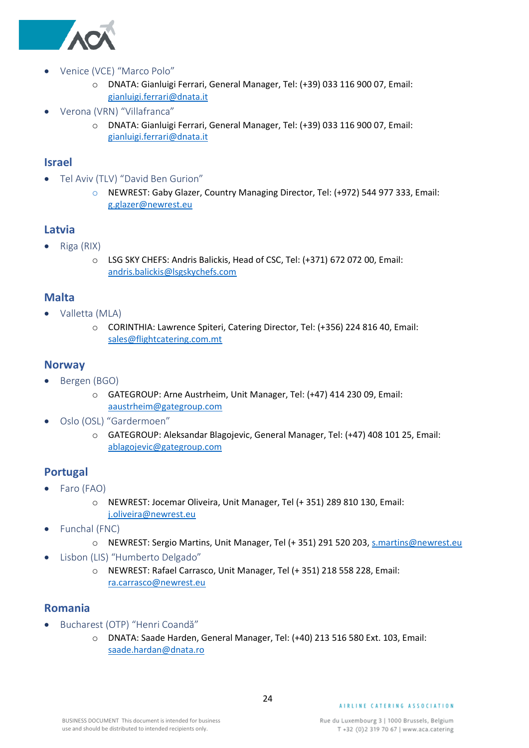

- <span id="page-23-0"></span>• Venice (VCE) "Marco Polo"
	- o DNATA: Gianluigi Ferrari, General Manager, Tel: (+39) 033 116 900 07, Email: [gianluigi.ferrari@dnata.it](mailto:gianluigi.ferrari@dnata.it)
- <span id="page-23-1"></span>• Verona (VRN) "Villafranca"
	- o DNATA: Gianluigi Ferrari, General Manager, Tel: (+39) 033 116 900 07, Email: [gianluigi.ferrari@dnata.it](mailto:gianluigi.ferrari@dnata.it)

#### <span id="page-23-2"></span>**Israel**

- <span id="page-23-3"></span>• Tel Aviv (TLV) "David Ben Gurion"
	- o NEWREST: Gaby Glazer, Country Managing Director, Tel: (+972) 544 977 333, Email: [g.glazer@newrest.eu](mailto:g.glazer@newrest.eu)

#### <span id="page-23-4"></span>**Latvia**

- <span id="page-23-5"></span>• Riga (RIX)
	- o LSG SKY CHEFS: Andris Balickis, Head of CSC, Tel: (+371) 672 072 00, Email: [andris.balickis@lsgskychefs.com](mailto:andris.balickis@lsgskychefs.com)

#### <span id="page-23-6"></span>**Malta**

- <span id="page-23-7"></span>• Valletta (MLA)
	- o CORINTHIA: Lawrence Spiteri, Catering Director, Tel: (+356) 224 816 40, Email: [sales@flightcatering.com.mt](mailto:sales@flightcatering.com.mt)

#### <span id="page-23-8"></span>**Norway**

- <span id="page-23-9"></span>• Bergen (BGO)
	- o GATEGROUP: Arne Austrheim, Unit Manager, Tel: (+47) 414 230 09, Email: [aaustrheim@gategroup.com](mailto:aaustrheim@gategroup.com)
- <span id="page-23-10"></span>• Oslo (OSL) "Gardermoen"
	- o GATEGROUP: Aleksandar Blagojevic, General Manager, Tel: (+47) 408 101 25, Email: [ablagojevic@gategroup.com](mailto:ablagojevic@gategroup.com)

#### <span id="page-23-11"></span>**Portugal**

- <span id="page-23-12"></span>• Faro (FAO)
	- o NEWREST: Jocemar Oliveira, Unit Manager, Tel (+ 351) 289 810 130, Email: [j.oliveira@newrest.eu](mailto:j.oliveira@newrest.eu)
- <span id="page-23-13"></span>• Funchal (FNC)
	- o NEWREST: Sergio Martins, Unit Manager, Tel (+ 351) 291 520 203[, s.martins@newrest.eu](mailto:s.martins@newrest.eu)
- <span id="page-23-14"></span>• Lisbon (LIS) "Humberto Delgado"
	- o NEWREST: Rafael Carrasco, Unit Manager, Tel (+ 351) 218 558 228, Email: [ra.carrasco@newrest.eu](mailto:ra.carrasco@newrest.eu)

#### <span id="page-23-15"></span>**Romania**

- <span id="page-23-16"></span>• Bucharest (OTP) "Henri Coandă"
	- o DNATA: Saade Harden, General Manager, Tel: (+40) 213 516 580 Ext. 103, Email: [saade.hardan@dnata.ro](mailto:saade.hardan@dnata.ro)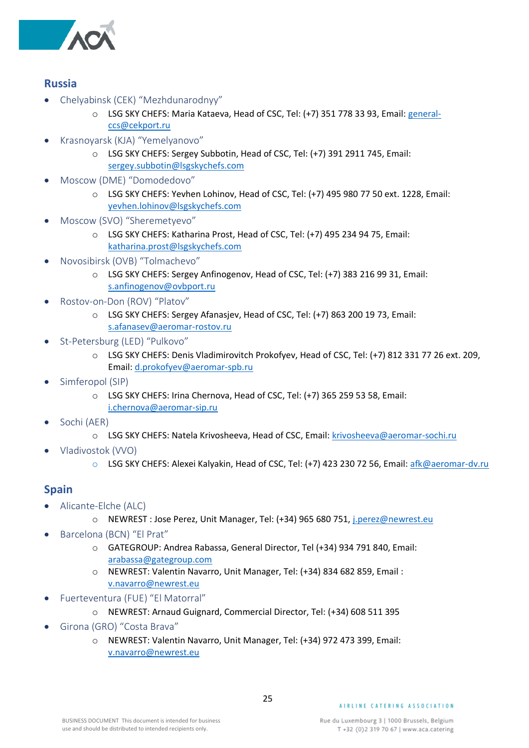

#### <span id="page-24-0"></span>**Russia**

- <span id="page-24-1"></span>• Chelyabinsk (CEK) "Mezhdunarodnyy"
	- o LSG SKY CHEFS: Maria Kataeva, Head of CSC, Tel: (+7) 351 778 33 93, Email: [general](mailto:general-ccs@cekport.ru)[ccs@cekport.ru](mailto:general-ccs@cekport.ru)
- <span id="page-24-2"></span>• Krasnoyarsk (KJA) "Yemelyanovo"
	- o LSG SKY CHEFS: Sergey Subbotin, Head of CSC, Tel: (+7) 391 2911 745, Email: [sergey.subbotin@lsgskychefs.com](mailto:sergey.subbotin@lsgskychefs.com)
- <span id="page-24-3"></span>• Moscow (DME) "Domodedovo"
	- o LSG SKY CHEFS: Yevhen Lohinov, Head of CSC, Tel: (+7) 495 980 77 50 ext. 1228, Email: [yevhen.lohinov@lsgskychefs.com](mailto:yevhen.lohinov@lsgskychefs.com)
- <span id="page-24-4"></span>• Moscow (SVO) "Sheremetyevo"
	- o LSG SKY CHEFS: Katharina Prost, Head of CSC, Tel: (+7) 495 234 94 75, Email: [katharina.prost@lsgskychefs.com](mailto:katharina.prost@lsgskychefs.com)
- <span id="page-24-5"></span>• Novosibirsk (OVB) "Tolmachevo"
	- o LSG SKY CHEFS: Sergey Anfinogenov, Head of CSC, Tel: (+7) 383 216 99 31, Email: [s.anfinogenov@ovbport.ru](mailto:s.anfinogenov@ovbport.ru)
- <span id="page-24-6"></span>• Rostov-on-Don (ROV) "Platov"
	- o LSG SKY CHEFS: Sergey Afanasjev, Head of CSC, Tel: (+7) 863 200 19 73, Email: [s.afanasev@aeromar-rostov.ru](mailto:s.afanasev@aeromar-rostov.ru)
- <span id="page-24-7"></span>• St-Petersburg (LED) "Pulkovo"
	- o LSG SKY CHEFS: Denis Vladimirovitch Prokofyev, Head of CSC, Tel: (+7) 812 331 77 26 ext. 209, Email[: d.prokofyev@aeromar-spb.ru](mailto:d.prokofyev@aeromar-spb.ru)
- <span id="page-24-8"></span>Simferopol (SIP)
	- o LSG SKY CHEFS: Irina Chernova, Head of CSC, Tel: (+7) 365 259 53 58, Email: [i.chernova@aeromar-sip.ru](mailto:i.chernova@aeromar-sip.ru)
- <span id="page-24-9"></span>• Sochi (AER)
	- o LSG SKY CHEFS: Natela Krivosheeva, Head of CSC, Email[: krivosheeva@aeromar-sochi.ru](mailto:krivosheeva@aeromar-sochi.ru)
- <span id="page-24-10"></span>• Vladivostok (VVO)
	- o LSG SKY CHEFS: Alexei Kalyakin, Head of CSC, Tel: (+7) 423 230 72 56, Email: [afk@aeromar-dv.ru](mailto:afk@aeromar-dv.ru)

#### <span id="page-24-11"></span>**Spain**

- <span id="page-24-12"></span>• Alicante-Elche (ALC)
	- o NEWREST : Jose Perez, Unit Manager, Tel: (+34) 965 680 751, [j.perez@newrest.eu](mailto:j.perez@newrest.eu)
- <span id="page-24-13"></span>• Barcelona (BCN) "El Prat"
	- o GATEGROUP: Andrea Rabassa, General Director, Tel (+34) 934 791 840, Email: [arabassa@gategroup.com](mailto:arabassa@gategroup.com)
	- o NEWREST: Valentin Navarro, Unit Manager, Tel: (+34) 834 682 859, Email : [v.navarro@newrest.eu](mailto:v.navarro@newrest.eu)
- <span id="page-24-14"></span>• Fuerteventura (FUE) "El Matorral"
	- o NEWREST: Arnaud Guignard, Commercial Director, Tel: (+34) 608 511 395
- <span id="page-24-15"></span>• Girona (GRO) "Costa Brava"
	- o NEWREST: Valentin Navarro, Unit Manager, Tel: (+34) 972 473 399, Email: [v.navarro@newrest.eu](mailto:v.navarro@newrest.eu)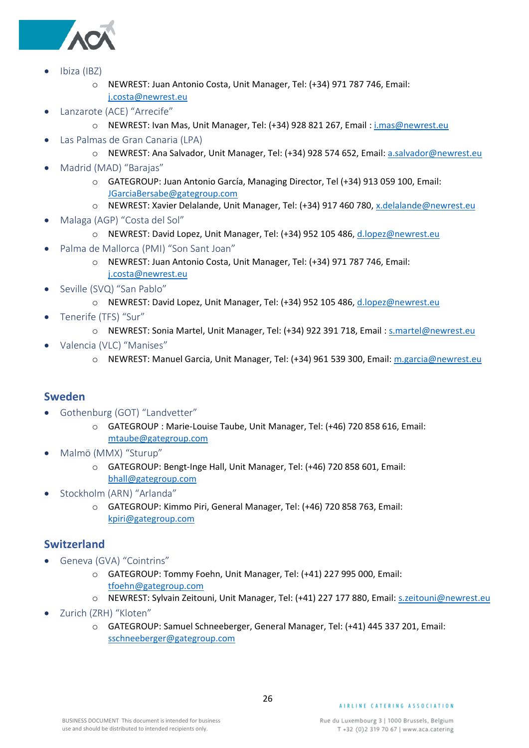

- <span id="page-25-0"></span>• Ibiza (IBZ)
	- o NEWREST: Juan Antonio Costa, Unit Manager, Tel: (+34) 971 787 746, Email: [j.costa@newrest.eu](mailto:j.costa@newrest.eu)
- <span id="page-25-1"></span>Lanzarote (ACE) "Arrecife"
	- o NEWREST: Ivan Mas, Unit Manager, Tel: (+34) 928 821 267, Email : [i.mas@newrest.eu](mailto:i.mas@newrest.eu)
- <span id="page-25-2"></span>• Las Palmas de Gran Canaria (LPA)
	- o NEWREST: Ana Salvador, Unit Manager, Tel: (+34) 928 574 652, Email[: a.salvador@newrest.eu](mailto:a.salvador@newrest.eu)
- <span id="page-25-3"></span>• Madrid (MAD) "Barajas"
	- o GATEGROUP: Juan Antonio García, Managing Director, Tel (+34) 913 059 100, Email: [JGarciaBersabe@gategroup.com](mailto:JGarciaBersabe@gategroup.com)
	- o NEWREST: Xavier Delalande, Unit Manager, Tel: (+34) 917 460 780, [x.delalande@newrest.eu](mailto:x.delalande@newrest.eu)
- <span id="page-25-4"></span>• Malaga (AGP) "Costa del Sol"
	- o NEWREST: David Lopez, Unit Manager, Tel: (+34) 952 105 486, [d.lopez@newrest.eu](mailto:d.lopez@newrest.eu)
- <span id="page-25-5"></span>• Palma de Mallorca (PMI) "Son Sant Joan"
	- o NEWREST: Juan Antonio Costa, Unit Manager, Tel: (+34) 971 787 746, Email: [j.costa@newrest.eu](mailto:j.costa@newrest.eu)
- <span id="page-25-6"></span>• Seville (SVQ) "San Pablo"
	- o NEWREST: David Lopez, Unit Manager, Tel: (+34) 952 105 486, [d.lopez@newrest.eu](mailto:d.lopez@newrest.eu)
- <span id="page-25-7"></span>• Tenerife (TFS) "Sur"
	- o NEWREST: Sonia Martel, Unit Manager, Tel: (+34) 922 391 718, Email : [s.martel@newrest.eu](mailto:s.martel@newrest.eu)
- <span id="page-25-8"></span>• Valencia (VLC) "Manises"
	- o NEWREST: Manuel Garcia, Unit Manager, Tel: (+34) 961 539 300, Email: [m.garcia@newrest.eu](mailto:m.garcia@newrest.eu)

#### <span id="page-25-9"></span>**Sweden**

- <span id="page-25-10"></span>• Gothenburg (GOT) "Landvetter"
	- o GATEGROUP : Marie-Louise Taube, Unit Manager, Tel: (+46) 720 858 616, Email: [mtaube@gategroup.com](mailto:mtaube@gategroup.com)
- <span id="page-25-11"></span>• Malmö (MMX) "Sturup"
	- o GATEGROUP: Bengt-Inge Hall, Unit Manager, Tel: (+46) 720 858 601, Email: [bhall@gategroup.com](mailto:bhall@gategroup.com)
- <span id="page-25-12"></span>• Stockholm (ARN) "Arlanda"
	- o GATEGROUP: Kimmo Piri, General Manager, Tel: (+46) 720 858 763, Email: [kpiri@gategroup.com](mailto:kpiri@gategroup.com)

#### <span id="page-25-13"></span>**Switzerland**

- <span id="page-25-14"></span>• Geneva (GVA) "Cointrins"
	- o GATEGROUP: Tommy Foehn, Unit Manager, Tel: (+41) 227 995 000, Email: [tfoehn@gategroup.com](mailto:tfoehn@gategroup.com)
	- o NEWREST: Sylvain Zeitouni, Unit Manager, Tel: (+41) 227 177 880, Email: [s.zeitouni@newrest.eu](mailto:s.zeitouni@newrest.eu)
- <span id="page-25-15"></span>• Zurich (ZRH) "Kloten"
	- o GATEGROUP: Samuel Schneeberger, General Manager, Tel: (+41) 445 337 201, Email: [sschneeberger@gategroup.com](mailto:sschneeberger@gategroup.com)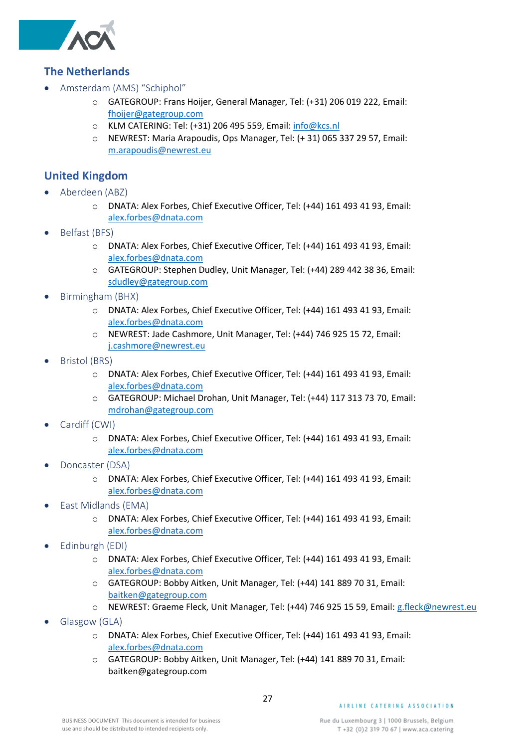

#### <span id="page-26-0"></span>**The Netherlands**

- <span id="page-26-1"></span>• Amsterdam (AMS) "Schiphol"
	- o GATEGROUP: Frans Hoijer, General Manager, Tel: (+31) 206 019 222, Email: [fhoijer@gategroup.com](mailto:fhoijer@gategroup.com)
	- o KLM CATERING: Tel: (+31) 206 495 559, Email: [info@kcs.nl](mailto:info@kcs.nl)
	- o NEWREST: Maria Arapoudis, Ops Manager, Tel: (+ 31) 065 337 29 57, Email: [m.arapoudis@newrest.eu](mailto:m.arapoudis@newrest.eu)

#### <span id="page-26-2"></span>**United Kingdom**

- <span id="page-26-3"></span>• Aberdeen (ABZ)
	- o DNATA: Alex Forbes, Chief Executive Officer, Tel: (+44) 161 493 41 93, Email: [alex.forbes@dnata.com](mailto:alex.forbes@dnata.com)
- <span id="page-26-4"></span>• Belfast (BFS)
	- o DNATA: Alex Forbes, Chief Executive Officer, Tel: (+44) 161 493 41 93, Email: [alex.forbes@dnata.com](mailto:alex.forbes@dnata.com)
	- o GATEGROUP: Stephen Dudley, Unit Manager, Tel: (+44) 289 442 38 36, Email: [sdudley@gategroup.com](mailto:sdudley@gategroup.com)
- <span id="page-26-5"></span>• Birmingham (BHX)
	- o DNATA: Alex Forbes, Chief Executive Officer, Tel: (+44) 161 493 41 93, Email: [alex.forbes@dnata.com](mailto:alex.forbes@dnata.com)
	- o NEWREST: Jade Cashmore, Unit Manager, Tel: (+44) 746 925 15 72, Email: [j.cashmore@newrest.eu](mailto:j.cashmore@newrest.eu)
- <span id="page-26-6"></span>• Bristol (BRS)
	- o DNATA: Alex Forbes, Chief Executive Officer, Tel: (+44) 161 493 41 93, Email: [alex.forbes@dnata.com](mailto:alex.forbes@dnata.com)
	- o GATEGROUP: Michael Drohan, Unit Manager, Tel: (+44) 117 313 73 70, Email: [mdrohan@gategroup.com](mailto:mdrohan@gategroup.com)
- <span id="page-26-7"></span>Cardiff (CWI)
	- o DNATA: Alex Forbes, Chief Executive Officer, Tel: (+44) 161 493 41 93, Email: [alex.forbes@dnata.com](mailto:alex.forbes@dnata.com)
- <span id="page-26-8"></span>• Doncaster (DSA)
	- o DNATA: Alex Forbes, Chief Executive Officer, Tel: (+44) 161 493 41 93, Email: [alex.forbes@dnata.com](mailto:alex.forbes@dnata.com)
- <span id="page-26-9"></span>• East Midlands (EMA)
	- o DNATA: Alex Forbes, Chief Executive Officer, Tel: (+44) 161 493 41 93, Email: [alex.forbes@dnata.com](mailto:alex.forbes@dnata.com)
- <span id="page-26-10"></span>• Edinburgh (EDI)
	- o DNATA: Alex Forbes, Chief Executive Officer, Tel: (+44) 161 493 41 93, Email: [alex.forbes@dnata.com](mailto:alex.forbes@dnata.com)
	- o GATEGROUP: Bobby Aitken, Unit Manager, Tel: (+44) 141 889 70 31, Email: [baitken@gategroup.com](mailto:baitken@gategroup.com)
	- o NEWREST: Graeme Fleck, Unit Manager, Tel: (+44) 746 925 15 59, Email: [g.fleck@newrest.eu](mailto:g.fleck@newrest.eu)
- <span id="page-26-11"></span>• Glasgow (GLA)
	- o DNATA: Alex Forbes, Chief Executive Officer, Tel: (+44) 161 493 41 93, Email: [alex.forbes@dnata.com](mailto:alex.forbes@dnata.com)
	- o GATEGROUP: Bobby Aitken, Unit Manager, Tel: (+44) 141 889 70 31, Email: baitken@gategroup.com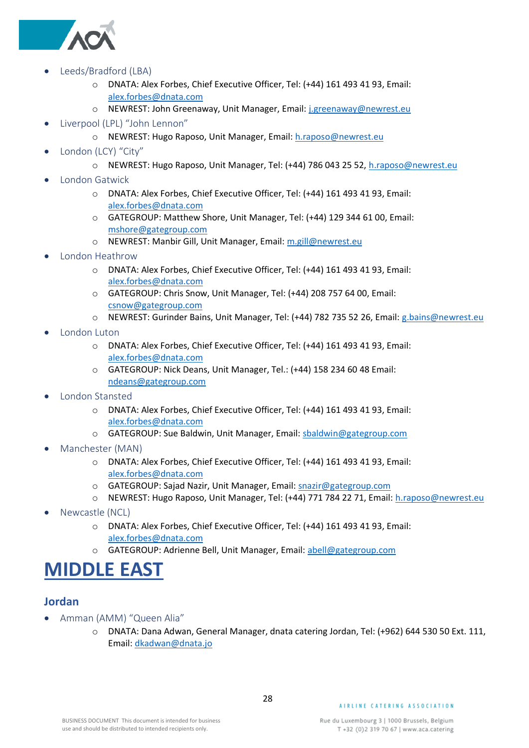

- <span id="page-27-0"></span>• Leeds/Bradford (LBA)
	- o DNATA: Alex Forbes, Chief Executive Officer, Tel: (+44) 161 493 41 93, Email: [alex.forbes@dnata.com](mailto:alex.forbes@dnata.com)
	- o NEWREST: John Greenaway, Unit Manager, Email: [j.greenaway@newrest.eu](mailto:j.greenaway@newrest.eu)
- <span id="page-27-1"></span>• Liverpool (LPL) "John Lennon"
	- o NEWREST: Hugo Raposo, Unit Manager, Email: [h.raposo@newrest.eu](mailto:h.raposo@newrest.eu)
- <span id="page-27-2"></span>• London (LCY) "City"
	- o NEWREST: Hugo Raposo, Unit Manager, Tel: (+44) 786 043 25 52, [h.raposo@newrest.eu](mailto:h.raposo@newrest.eu)
- <span id="page-27-3"></span>• London Gatwick
	- o DNATA: Alex Forbes, Chief Executive Officer, Tel: (+44) 161 493 41 93, Email: [alex.forbes@dnata.com](mailto:alex.forbes@dnata.com)
	- o GATEGROUP: Matthew Shore, Unit Manager, Tel: (+44) 129 344 61 00, Email: [mshore@gategroup.com](mailto:mshore@gategroup.com)
	- o NEWREST: Manbir Gill, Unit Manager, Email: [m.gill@newrest.eu](mailto:m.gill@newrest.eu)
- <span id="page-27-4"></span>• London Heathrow
	- o DNATA: Alex Forbes, Chief Executive Officer, Tel: (+44) 161 493 41 93, Email: [alex.forbes@dnata.com](mailto:alex.forbes@dnata.com)
	- o GATEGROUP: Chris Snow, Unit Manager, Tel: (+44) 208 757 64 00, Email: [csnow@gategroup.com](mailto:csnow@gategroup.com)
	- o NEWREST: Gurinder Bains, Unit Manager, Tel: (+44) 782 735 52 26, Email: [g.bains@newrest.eu](mailto:g.bains@newrest.eu)
- <span id="page-27-5"></span>• London Luton
	- o DNATA: Alex Forbes, Chief Executive Officer, Tel: (+44) 161 493 41 93, Email: [alex.forbes@dnata.com](mailto:alex.forbes@dnata.com)
	- o GATEGROUP: Nick Deans, Unit Manager, Tel.: (+44) 158 234 60 48 Email: [ndeans@gategroup.com](mailto:ndeans@gategroup.com)
- <span id="page-27-6"></span>• London Stansted
	- o DNATA: Alex Forbes, Chief Executive Officer, Tel: (+44) 161 493 41 93, Email: [alex.forbes@dnata.com](mailto:alex.forbes@dnata.com)
	- o GATEGROUP: Sue Baldwin, Unit Manager, Email[: sbaldwin@gategroup.com](mailto:sbaldwin@gategroup.com)
- <span id="page-27-7"></span>• Manchester (MAN)
	- o DNATA: Alex Forbes, Chief Executive Officer, Tel: (+44) 161 493 41 93, Email: [alex.forbes@dnata.com](mailto:alex.forbes@dnata.com)
	- o GATEGROUP: Sajad Nazir, Unit Manager, Email[: snazir@gategroup.com](mailto:snazir@gategroup.com)
	- o NEWREST: Hugo Raposo, Unit Manager, Tel: (+44) 771 784 22 71, Email: [h.raposo@newrest.eu](mailto:h.raposo@newrest.eu)
- <span id="page-27-8"></span>• Newcastle (NCL)
	- o DNATA: Alex Forbes, Chief Executive Officer, Tel: (+44) 161 493 41 93, Email: [alex.forbes@dnata.com](mailto:alex.forbes@dnata.com)
	- o GATEGROUP: Adrienne Bell, Unit Manager, Email: [abell@gategroup.com](mailto:abell@gategroup.com)

### <span id="page-27-9"></span>**MIDDLE EAST**

### <span id="page-27-10"></span>**Jordan**

- <span id="page-27-11"></span>• Amman (AMM) "Queen Alia"
	- o DNATA: Dana Adwan, General Manager, dnata catering Jordan, Tel: (+962) 644 530 50 Ext. 111, Email[: dkadwan@dnata.jo](mailto:dkadwan@dnata.jo)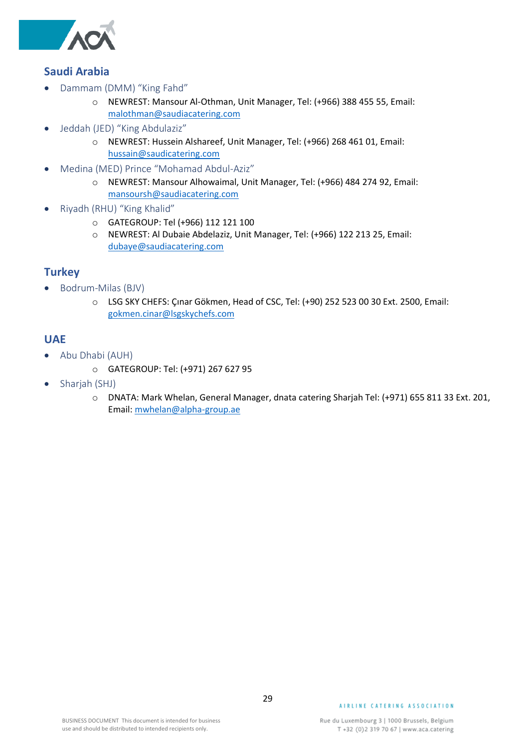

#### <span id="page-28-0"></span>**Saudi Arabia**

- <span id="page-28-1"></span>• Dammam (DMM) "King Fahd"
	- o NEWREST: Mansour Al-Othman, Unit Manager, Tel: (+966) 388 455 55, Email: [malothman@saudiacatering.com](mailto:malothman@saudiacatering.com)
- <span id="page-28-2"></span>• Jeddah (JED) "King Abdulaziz"
	- o NEWREST: Hussein Alshareef, Unit Manager, Tel: (+966) 268 461 01, Email: [hussain@saudicatering.com](mailto:hussain@saudicatering.com)
- <span id="page-28-3"></span>• Medina (MED) Prince "Mohamad Abdul-Aziz"
	- o NEWREST: Mansour Alhowaimal, Unit Manager, Tel: (+966) 484 274 92, Email: [mansoursh@saudiacatering.com](mailto:mansoursh@saudiacatering.com)
- <span id="page-28-4"></span>• Riyadh (RHU) "King Khalid"
	- o GATEGROUP: Tel (+966) 112 121 100
	- o NEWREST: Al Dubaie Abdelaziz, Unit Manager, Tel: (+966) 122 213 25, Email: [dubaye@saudiacatering.com](mailto:dubaye@saudiacatering.com)

#### <span id="page-28-5"></span>**Turkey**

- <span id="page-28-6"></span>• Bodrum-Milas (BJV)
	- o LSG SKY CHEFS: Çınar Gökmen, Head of CSC, Tel: (+90) 252 523 00 30 Ext. 2500, Email: [gokmen.cinar@lsgskychefs.com](mailto:gokmen.cinar@lsgskychefs.com)

#### <span id="page-28-7"></span>**UAE**

- <span id="page-28-8"></span>• Abu Dhabi (AUH)
	- o GATEGROUP: Tel: (+971) 267 627 95
- <span id="page-28-9"></span>• Sharjah (SHJ)
	- o DNATA: Mark Whelan, General Manager, dnata catering Sharjah Tel: (+971) 655 811 33 Ext. 201, Email[: mwhelan@alpha-group.ae](mailto:mwhelan@alpha-group.ae)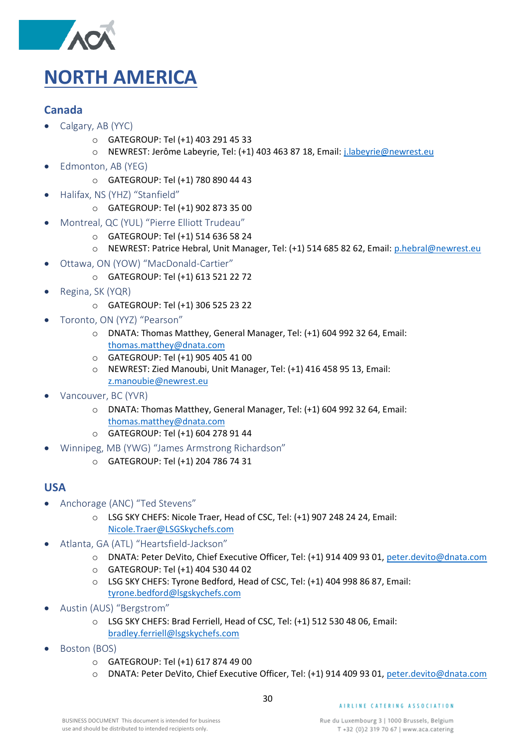

#### <span id="page-29-1"></span><span id="page-29-0"></span>**Canada**

- <span id="page-29-2"></span>• Calgary, AB (YYC)
	- o GATEGROUP: Tel (+1) 403 291 45 33
	- o NEWREST: Jerôme Labeyrie, Tel: (+1) 403 463 87 18, Email: [j.labeyrie@newrest.eu](mailto:j.labeyrie@newrest.eu)
- <span id="page-29-3"></span>• Edmonton, AB (YEG)
	- o GATEGROUP: Tel (+1) 780 890 44 43
- <span id="page-29-4"></span>• Halifax, NS (YHZ) "Stanfield"
	- o GATEGROUP: Tel (+1) 902 873 35 00
- <span id="page-29-5"></span>• Montreal, QC (YUL) "Pierre Elliott Trudeau"
	- o GATEGROUP: Tel (+1) 514 636 58 24
	- o NEWREST: Patrice Hebral, Unit Manager, Tel: (+1) 514 685 82 62, Email: [p.hebral@newrest.eu](mailto:p.hebral@newrest.eu)
- <span id="page-29-6"></span>• Ottawa, ON (YOW) "MacDonald-Cartier"
	- o GATEGROUP: Tel (+1) 613 521 22 72
- <span id="page-29-7"></span>• Regina, SK (YQR)
	- o GATEGROUP: Tel (+1) 306 525 23 22
- <span id="page-29-8"></span>• Toronto, ON (YYZ) "Pearson"
	- o DNATA: Thomas Matthey, General Manager, Tel: (+1) 604 992 32 64, Email: [thomas.matthey@dnata.com](mailto:thomas.matthey@dnata.com)
	- o GATEGROUP: Tel (+1) 905 405 41 00
	- o NEWREST: Zied Manoubi, Unit Manager, Tel: (+1) 416 458 95 13, Email: [z.manoubie@newrest.eu](mailto:z.manoubie@newrest.eu)
- <span id="page-29-9"></span>• Vancouver, BC (YVR)
	- o DNATA: Thomas Matthey, General Manager, Tel: (+1) 604 992 32 64, Email: [thomas.matthey@dnata.com](mailto:thomas.matthey@dnata.com)
	- o GATEGROUP: Tel (+1) 604 278 91 44
- <span id="page-29-10"></span>• Winnipeg, MB (YWG) "James Armstrong Richardson"
	- o GATEGROUP: Tel (+1) 204 786 74 31

#### <span id="page-29-11"></span>**USA**

- <span id="page-29-12"></span>• Anchorage (ANC) "Ted Stevens"
	- o LSG SKY CHEFS: Nicole Traer, Head of CSC, Tel: (+1) 907 248 24 24, Email: [Nicole.Traer@LSGSkychefs.com](mailto:Nicole.Traer@LSGSkychefs.com)
- <span id="page-29-13"></span>• Atlanta, GA (ATL) "Heartsfield-Jackson"
	- o DNATA: Peter DeVito, Chief Executive Officer, Tel: (+1) 914 409 93 01, [peter.devito@dnata.com](mailto:peter.devito@dnata.com)
	- o GATEGROUP: Tel (+1) 404 530 44 02
	- o LSG SKY CHEFS: Tyrone Bedford, Head of CSC, [Tel: \(+1\)](Tel:(+1)) 404 998 86 87, Email: [tyrone.bedford@lsgskychefs.com](mailto:tyrone.bedford@lsgskychefs.com)
- <span id="page-29-14"></span>• Austin (AUS) "Bergstrom"
	- o LSG SKY CHEFS: Brad Ferriell, Head of CSC, Tel: (+1) 512 530 48 06, Email: [bradley.ferriell@lsgskychefs.com](mailto:bradley.ferriell@lsgskychefs.com)
- <span id="page-29-15"></span>• Boston (BOS)
	- o GATEGROUP: Tel (+1) 617 874 49 00
	- o DNATA: Peter DeVito, Chief Executive Officer, Tel: (+1) 914 409 93 01, [peter.devito@dnata.com](mailto:peter.devito@dnata.com)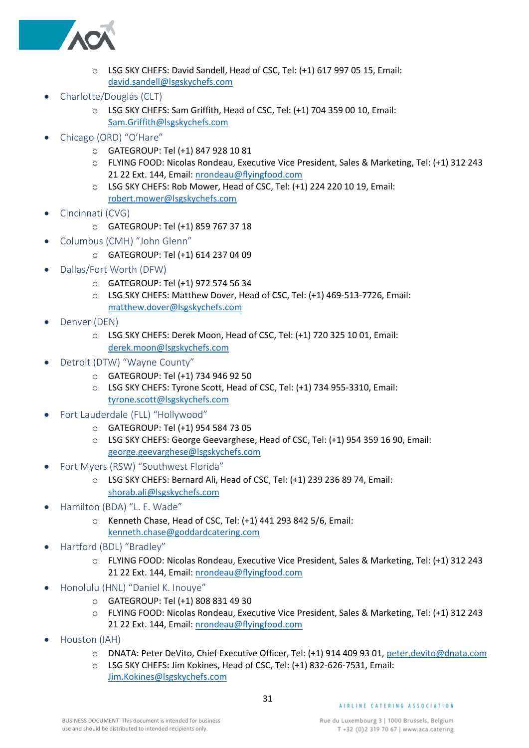

- o LSG SKY CHEFS: David Sandell, Head of CSC, Tel: (+1) 617 997 05 15, Email: [david.sandell@lsgskychefs.com](mailto:david.sandell@lsgskychefs.com)
- <span id="page-30-0"></span>• Charlotte/Douglas (CLT)
	- o LSG SKY CHEFS: Sam Griffith, Head of CSC, Tel: (+1) 704 359 00 10, Email: [Sam.Griffith@lsgskychefs.com](mailto:Sam.Griffith@lsgskychefs.com)
- <span id="page-30-1"></span>• Chicago (ORD) "O'Hare"
	- o GATEGROUP: Tel (+1) 847 928 10 81
	- o FLYING FOOD: Nicolas Rondeau, Executive Vice President, Sales & Marketing, Tel: (+1) 312 243 21 22 Ext. 144, Email: [nrondeau@flyingfood.com](mailto:nrondeau@flyingfood.com)
	- o LSG SKY CHEFS: Rob Mower, Head of CSC, Tel: (+1) 224 220 10 19, Email: [robert.mower@lsgskychefs.com](mailto:robert.mower@lsgskychefs.com)
- <span id="page-30-2"></span>• Cincinnati (CVG)
	- o GATEGROUP: Tel (+1) 859 767 37 18
- <span id="page-30-3"></span>• Columbus (CMH) "John Glenn"
	- o GATEGROUP: Tel (+1) 614 237 04 09
- <span id="page-30-4"></span>• Dallas/Fort Worth (DFW)
	- o GATEGROUP: Tel (+1) 972 574 56 34
	- o LSG SKY CHEFS: Matthew Dover, Head of CSC, Tel: (+1) 469-513-7726, Email: [matthew.dover@lsgskychefs.com](mailto:matthew.dover@lsgskychefs.com)
- <span id="page-30-5"></span>Denver (DEN)
	- o LSG SKY CHEFS: Derek Moon, Head of CSC, Tel: (+1) 720 325 10 01, Email: [derek.moon@lsgskychefs.com](mailto:derek.moon@lsgskychefs.com)
- <span id="page-30-6"></span>• Detroit (DTW) "Wayne County"
	- o GATEGROUP: Tel (+1) 734 946 92 50
	- o LSG SKY CHEFS: Tyrone Scott, Head of CSC, Tel: (+1) 734 955-3310, Email: [tyrone.scott@lsgskychefs.com](mailto:tyrone.scott@lsgskychefs.com)
- <span id="page-30-7"></span>• Fort Lauderdale (FLL) "Hollywood"
	- o GATEGROUP: Tel (+1) 954 584 73 05
	- o LSG SKY CHEFS: George Geevarghese, Head of CSC, Tel: (+1) 954 359 16 90, Email: [george.geevarghese@lsgskychefs.com](mailto:george.geevarghese@lsgskychefs.com)
- <span id="page-30-8"></span>• Fort Myers (RSW) "Southwest Florida"
	- o LSG SKY CHEFS: Bernard Ali, Head of CSC, Tel: (+1) 239 236 89 74, Email: [shorab.ali@lsgskychefs.com](mailto:shorab.ali@lsgskychefs.com)
- <span id="page-30-9"></span>• Hamilton (BDA) "L. F. Wade"
	- o Kenneth Chase, Head of CSC, Tel: (+1) 441 293 842 5/6, Email: [kenneth.chase@goddardcatering.com](mailto:kenneth.chase@goddardcatering.com)
- <span id="page-30-10"></span>• Hartford (BDL) "Bradley"
	- o FLYING FOOD: Nicolas Rondeau, Executive Vice President, Sales & Marketing, Tel: (+1) 312 243 21 22 Ext. 144, Email: [nrondeau@flyingfood.com](mailto:nrondeau@flyingfood.com)
- <span id="page-30-11"></span>• Honolulu (HNL) "Daniel K. Inouye"
	- o GATEGROUP: Tel (+1) 808 831 49 30
	- o FLYING FOOD: Nicolas Rondeau, Executive Vice President, Sales & Marketing, Tel: (+1) 312 243 21 22 Ext. 144, Email: [nrondeau@flyingfood.com](mailto:nrondeau@flyingfood.com)
- <span id="page-30-12"></span>• Houston (IAH)
	- o DNATA: Peter DeVito, Chief Executive Officer, Tel: (+1) 914 409 93 01, [peter.devito@dnata.com](mailto:peter.devito@dnata.com)
	- o LSG SKY CHEFS: Jim Kokines, Head of CSC, Tel: (+1) 832-626-7531, Email: [Jim.Kokines@lsgskychefs.com](mailto:Jim.Kokines@lsgskychefs.com)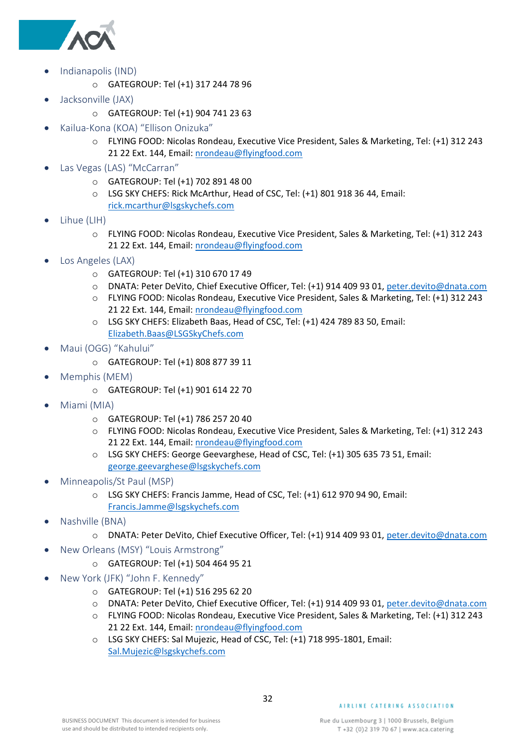

- <span id="page-31-0"></span>• Indianapolis (IND)
	- o GATEGROUP: Tel (+1) 317 244 78 96
- <span id="page-31-1"></span>• Jacksonville (JAX)
	- o GATEGROUP: Tel (+1) 904 741 23 63
- <span id="page-31-2"></span>• Kailua-Kona (KOA) "Ellison Onizuka"
	- o FLYING FOOD: Nicolas Rondeau, Executive Vice President, Sales & Marketing, Tel: (+1) 312 243 21 22 Ext. 144, Email: [nrondeau@flyingfood.com](mailto:nrondeau@flyingfood.com)
- <span id="page-31-3"></span>• Las Vegas (LAS) "McCarran"
	- o GATEGROUP: Tel (+1) 702 891 48 00
	- o LSG SKY CHEFS: Rick McArthur, Head of CSC, Tel: (+1) 801 918 36 44, Email: [rick.mcarthur@lsgskychefs.com](mailto:rick.mcarthur@lsgskychefs.com)
- <span id="page-31-4"></span>• Lihue (LIH)
	- o FLYING FOOD: Nicolas Rondeau, Executive Vice President, Sales & Marketing, Tel: (+1) 312 243 21 22 Ext. 144, Email: [nrondeau@flyingfood.com](mailto:nrondeau@flyingfood.com)
- <span id="page-31-5"></span>• Los Angeles (LAX)
	- o GATEGROUP: Tel (+1) 310 670 17 49
	- o DNATA: Peter DeVito, Chief Executive Officer, Tel: (+1) 914 409 93 01, [peter.devito@dnata.com](mailto:peter.devito@dnata.com)
	- o FLYING FOOD: Nicolas Rondeau, Executive Vice President, Sales & Marketing, Tel: (+1) 312 243 21 22 Ext. 144, Email: [nrondeau@flyingfood.com](mailto:nrondeau@flyingfood.com)
	- o LSG SKY CHEFS: Elizabeth Baas, Head of CSC, Tel: (+1) 424 789 83 50, Email: [Elizabeth.Baas@LSGSkyChefs.com](mailto:Elizabeth.Baas@LSGSkyChefs.com)
- <span id="page-31-6"></span>• Maui (OGG) "Kahului"
	- o GATEGROUP: Tel (+1) 808 877 39 11
- <span id="page-31-7"></span>• Memphis (MEM)
	- o GATEGROUP: Tel (+1) 901 614 22 70
- <span id="page-31-8"></span>• Miami (MIA)
	- o GATEGROUP: Tel (+1) 786 257 20 40
	- o FLYING FOOD: Nicolas Rondeau, Executive Vice President, Sales & Marketing, Tel: (+1) 312 243 21 22 Ext. 144, Email: [nrondeau@flyingfood.com](mailto:nrondeau@flyingfood.com)
	- o LSG SKY CHEFS: George Geevarghese, Head of CSC, Tel: (+1) 305 635 73 51, Email: [george.geevarghese@lsgskychefs.com](mailto:george.geevarghese@lsgskychefs.com)
- <span id="page-31-9"></span>• Minneapolis/St Paul (MSP)
	- o LSG SKY CHEFS: Francis Jamme, Head of CSC, Tel: (+1) 612 970 94 90, Email: [Francis.Jamme@lsgskychefs.com](mailto:Francis.Jamme@lsgskychefs.com)
- <span id="page-31-10"></span>• Nashville (BNA)
	- o DNATA: Peter DeVito, Chief Executive Officer, Tel: (+1) 914 409 93 01, [peter.devito@dnata.com](mailto:peter.devito@dnata.com)
- <span id="page-31-11"></span>• New Orleans (MSY) "Louis Armstrong"
	- o GATEGROUP: Tel (+1) 504 464 95 21
- <span id="page-31-12"></span>• New York (JFK) "John F. Kennedy"
	- o GATEGROUP: Tel (+1) 516 295 62 20
	- o DNATA: Peter DeVito, Chief Executive Officer, Tel: (+1) 914 409 93 01, [peter.devito@dnata.com](mailto:peter.devito@dnata.com)
	- o FLYING FOOD: Nicolas Rondeau, Executive Vice President, Sales & Marketing, Tel: (+1) 312 243 21 22 Ext. 144, Email: [nrondeau@flyingfood.com](mailto:nrondeau@flyingfood.com)
	- o LSG SKY CHEFS: Sal Mujezic, Head of CSC, Tel: (+1) 718 995-1801, Email: [Sal.Mujezic@lsgskychefs.com](mailto:Sal.Mujezic@lsgskychefs.com)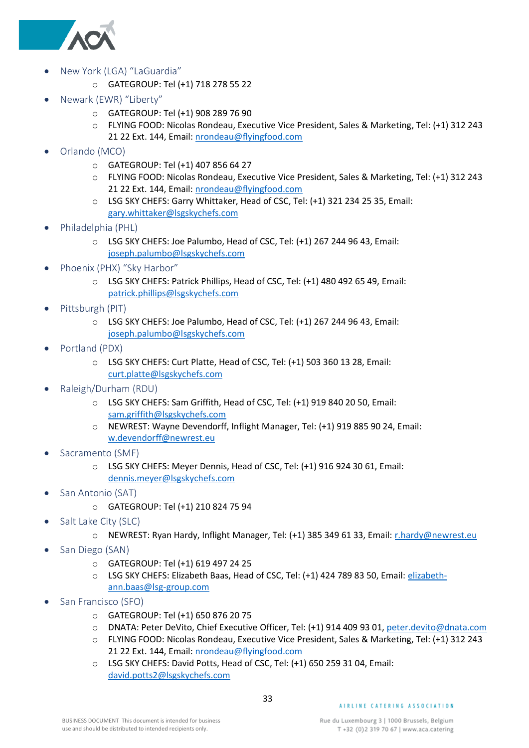

- <span id="page-32-0"></span>• New York (LGA) "LaGuardia"
	- o GATEGROUP: Tel (+1) 718 278 55 22
- <span id="page-32-1"></span>• Newark (EWR) "Liberty"
	- o GATEGROUP: Tel (+1) 908 289 76 90
	- o FLYING FOOD: Nicolas Rondeau, Executive Vice President, Sales & Marketing, Tel: (+1) 312 243 21 22 Ext. 144, Email: [nrondeau@flyingfood.com](mailto:nrondeau@flyingfood.com)
- <span id="page-32-2"></span>• Orlando (MCO)
	- o GATEGROUP: Tel (+1) 407 856 64 27
	- o FLYING FOOD: Nicolas Rondeau, Executive Vice President, Sales & Marketing, Tel: (+1) 312 243 21 22 Ext. 144, Email: [nrondeau@flyingfood.com](mailto:nrondeau@flyingfood.com)
	- o LSG SKY CHEFS: Garry Whittaker, Head of CSC, Tel: (+1) 321 234 25 35, Email: [gary.whittaker@lsgskychefs.com](mailto:gary.whittaker@lsgskychefs.com)
- <span id="page-32-3"></span>• Philadelphia (PHL)
	- o LSG SKY CHEFS: Joe Palumbo, Head of CSC, Tel: (+1) 267 244 96 43, Email: [joseph.palumbo@lsgskychefs.com](mailto:joseph.palumbo@lsgskychefs.com)
- <span id="page-32-4"></span>• Phoenix (PHX) "Sky Harbor"
	- o LSG SKY CHEFS: Patrick Phillips, Head of CSC, Tel: (+1) 480 492 65 49, Email: [patrick.phillips@lsgskychefs.com](mailto:patrick.phillips@lsgskychefs.com)
- <span id="page-32-5"></span>Pittsburgh (PIT)
	- o LSG SKY CHEFS: Joe Palumbo, Head of CSC, Tel: (+1) 267 244 96 43, Email: [joseph.palumbo@lsgskychefs.com](mailto:joseph.palumbo@lsgskychefs.com)
- <span id="page-32-6"></span>• Portland (PDX)
	- o LSG SKY CHEFS: Curt Platte, Head of CSC, Tel: (+1) 503 360 13 28, Email: [curt.platte@lsgskychefs.com](mailto:curt.platte@lsgskychefs.com)
- <span id="page-32-7"></span>• Raleigh/Durham (RDU)
	- o LSG SKY CHEFS: Sam Griffith, Head of CSC, Tel: (+1) 919 840 20 50, Email: [sam.griffith@lsgskychefs.com](mailto:sam.griffith@lsgskychefs.com)
	- o NEWREST: Wayne Devendorff, Inflight Manager, Tel: (+1) 919 885 90 24, Email: [w.devendorff@newrest.eu](mailto:w.devendorff@newrest.eu)
- <span id="page-32-8"></span>Sacramento (SMF)
	- o LSG SKY CHEFS: Meyer Dennis, Head of CSC, Tel: (+1) 916 924 30 61, Email: [dennis.meyer@lsgskychefs.com](mailto:dennis.meyer@lsgskychefs.com)
- <span id="page-32-9"></span>San Antonio (SAT)
	- o GATEGROUP: Tel (+1) 210 824 75 94
- <span id="page-32-10"></span>Salt Lake City (SLC)
	- o NEWREST: Ryan Hardy, Inflight Manager, Tel: (+1) 385 349 61 33, Email: [r.hardy@newrest.eu](mailto:r.hardy@newrest.eu)
- <span id="page-32-11"></span>San Diego (SAN)
	- o GATEGROUP: Tel (+1) 619 497 24 25
	- o LSG SKY CHEFS: Elizabeth Baas, Head of CSC, Tel: (+1) 424 789 83 50, Email: [elizabeth](mailto:elizabeth-ann.baas@lsg-group.com)[ann.baas@lsg-group.com](mailto:elizabeth-ann.baas@lsg-group.com)
- <span id="page-32-12"></span>• San Francisco (SFO)
	- o GATEGROUP: Tel (+1) 650 876 20 75
	- o DNATA: Peter DeVito, Chief Executive Officer, Tel: (+1) 914 409 93 01, [peter.devito@dnata.com](mailto:peter.devito@dnata.com)
	- o FLYING FOOD: Nicolas Rondeau, Executive Vice President, Sales & Marketing, Tel: (+1) 312 243 21 22 Ext. 144, Email: [nrondeau@flyingfood.com](mailto:nrondeau@flyingfood.com)
	- o LSG SKY CHEFS: David Potts, Head of CSC, Tel: (+1) 650 259 31 04, Email: [david.potts2@lsgskychefs.com](mailto:david.potts2@lsgskychefs.com)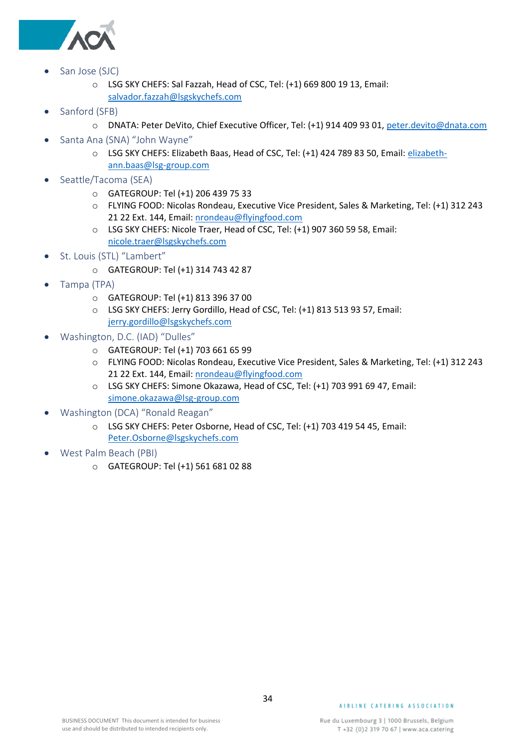

- <span id="page-33-0"></span>• San Jose (SJC)
	- o LSG SKY CHEFS: Sal Fazzah, Head of CSC, Tel: (+1) 669 800 19 13, Email: [salvador.fazzah@lsgskychefs.com](mailto:salvador.fazzah@lsgskychefs.com)
- <span id="page-33-1"></span>Sanford (SFB)
	- o DNATA: Peter DeVito, Chief Executive Officer, Tel: (+1) 914 409 93 01, [peter.devito@dnata.com](mailto:peter.devito@dnata.com)
- <span id="page-33-2"></span>• Santa Ana (SNA) "John Wayne"
	- o LSG SKY CHEFS: Elizabeth Baas, Head of CSC, Tel: (+1) 424 789 83 50, Email: [elizabeth](mailto:elizabeth-ann.baas@lsg-group.com)[ann.baas@lsg-group.com](mailto:elizabeth-ann.baas@lsg-group.com)
- <span id="page-33-3"></span>• Seattle/Tacoma (SEA)
	- o GATEGROUP: Tel (+1) 206 439 75 33
	- o FLYING FOOD: Nicolas Rondeau, Executive Vice President, Sales & Marketing, Tel: (+1) 312 243 21 22 Ext. 144, Email: [nrondeau@flyingfood.com](mailto:nrondeau@flyingfood.com)
	- o LSG SKY CHEFS: Nicole Traer, Head of CSC, Tel: (+1) 907 360 59 58, Email: [nicole.traer@lsgskychefs.com](mailto:nicole.traer@lsgskychefs.com)
- <span id="page-33-4"></span>• St. Louis (STL) "Lambert"
	- o GATEGROUP: Tel (+1) 314 743 42 87
- <span id="page-33-5"></span>• Tampa (TPA)
	- o GATEGROUP: Tel (+1) 813 396 37 00
	- o LSG SKY CHEFS: Jerry Gordillo, Head of CSC, Tel: (+1) 813 513 93 57, Email: [jerry.gordillo@lsgskychefs.com](mailto:jerry.gordillo@lsgskychefs.com)
- <span id="page-33-6"></span>• Washington, D.C. (IAD) "Dulles"
	- o GATEGROUP: Tel (+1) 703 661 65 99
	- o FLYING FOOD: Nicolas Rondeau, Executive Vice President, Sales & Marketing, Tel: (+1) 312 243 21 22 Ext. 144, Email: [nrondeau@flyingfood.com](mailto:nrondeau@flyingfood.com)
	- o LSG SKY CHEFS: Simone Okazawa, Head of CSC, Tel: (+1) 703 991 69 47, Email: [simone.okazawa@lsg-group.com](mailto:simone.okazawa@lsg-group.com)
- <span id="page-33-7"></span>• Washington (DCA) "Ronald Reagan"
	- o LSG SKY CHEFS: Peter Osborne, Head of CSC, Tel: (+1) 703 419 54 45, Email: [Peter.Osborne@lsgskychefs.com](mailto:Peter.Osborne@lsgskychefs.com)
- <span id="page-33-8"></span>• West Palm Beach (PBI)
	- o GATEGROUP: Tel (+1) 561 681 02 88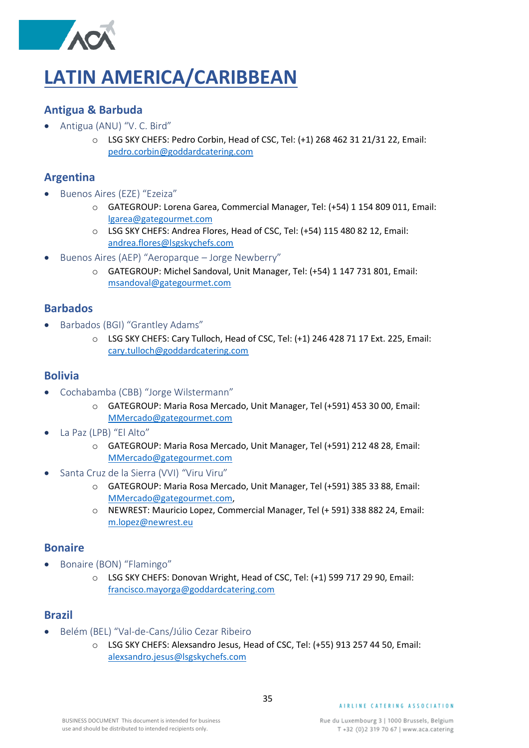### <span id="page-34-0"></span>**LATIN AMERICA/CARIBBEAN**

#### <span id="page-34-1"></span>**Antigua & Barbuda**

- <span id="page-34-2"></span>• Antigua (ANU) "V. C. Bird"
	- o LSG SKY CHEFS: Pedro Corbin, Head of CSC, Tel: (+1) 268 462 31 21/31 22, Email: [pedro.corbin@goddardcatering.com](mailto:pedro.corbin@goddardcatering.com)

#### <span id="page-34-3"></span>**Argentina**

- <span id="page-34-4"></span>• Buenos Aires (EZE) "Ezeiza"
	- o GATEGROUP: Lorena Garea, Commercial Manager, Tel: (+54) 1 154 809 011, Email: [lgarea@gategourmet.com](mailto:lgarea@gategourmet.com)
	- o LSG SKY CHEFS: Andrea Flores, Head of CSC, Tel: (+54) 115 480 82 12, Email: [andrea.flores@lsgskychefs.com](mailto:andrea.flores@lsgskychefs.com)
- <span id="page-34-5"></span>• Buenos Aires (AEP) "Aeroparque – Jorge Newberry"
	- o GATEGROUP: Michel Sandoval, Unit Manager, Tel: (+54) 1 147 731 801, Email: [msandoval@gategourmet.com](mailto:msandoval@gategourmet.com)

#### <span id="page-34-6"></span>**Barbados**

- <span id="page-34-7"></span>• Barbados (BGI) "Grantley Adams"
	- o LSG SKY CHEFS: Cary Tulloch, Head of CSC, Tel: (+1) 246 428 71 17 Ext. 225, Email: [cary.tulloch@goddardcatering.com](mailto:cary.tulloch@goddardcatering.com)

#### <span id="page-34-8"></span>**Bolivia**

- <span id="page-34-9"></span>• Cochabamba (CBB) "Jorge Wilstermann"
	- o GATEGROUP: Maria Rosa Mercado, Unit Manager, Tel (+591) 453 30 00, Email: [MMercado@gategourmet.com](mailto:MMercado@gategourmet.com)
- <span id="page-34-10"></span>• La Paz (LPB) "El Alto"
	- o GATEGROUP: Maria Rosa Mercado, Unit Manager, Tel (+591) 212 48 28, Email: [MMercado@gategourmet.com](mailto:MMercado@gategourmet.com)
- <span id="page-34-11"></span>• Santa Cruz de la Sierra (VVI) "Viru Viru"
	- o GATEGROUP: Maria Rosa Mercado, Unit Manager, Tel (+591) 385 33 88, Email: [MMercado@gategourmet.com,](mailto:MMercado@gategourmet.com)
	- o NEWREST: Mauricio Lopez, Commercial Manager, Tel (+ 591) 338 882 24, Email: [m.lopez@newrest.eu](mailto:m.lopez@newrest.eu)

#### <span id="page-34-12"></span>**Bonaire**

- <span id="page-34-13"></span>• Bonaire (BON) "Flamingo"
	- o LSG SKY CHEFS: Donovan Wright, Head of CSC, Tel: (+1) 599 717 29 90, Email: [francisco.mayorga@goddardcatering.com](mailto:francisco.mayorga@goddardcatering.com)

#### <span id="page-34-14"></span>**Brazil**

- <span id="page-34-15"></span>• Belém (BEL) "Val-de-Cans/Júlio Cezar Ribeiro
	- o LSG SKY CHEFS: Alexsandro Jesus, Head of CSC, Tel: (+55) 913 257 44 50, Email: [alexsandro.jesus@lsgskychefs.com](mailto:alexsandro.jesus@lsgskychefs.com)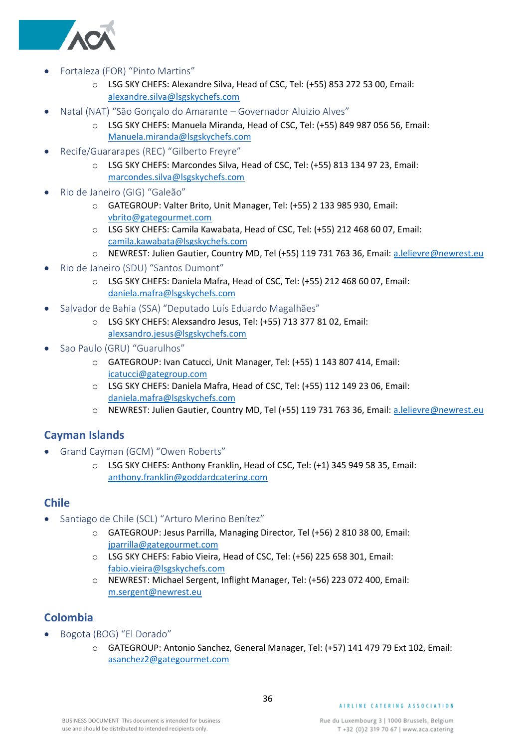

- <span id="page-35-0"></span>• Fortaleza (FOR) "Pinto Martins"
	- o LSG SKY CHEFS: Alexandre Silva, Head of CSC, Tel: (+55) 853 272 53 00, Email: [alexandre.silva@lsgskychefs.com](mailto:alexandre.silva@lsgskychefs.com)
- <span id="page-35-1"></span>• Natal (NAT) "São Gonçalo do Amarante – Governador Aluizio Alves"
	- o LSG SKY CHEFS: Manuela Miranda, Head of CSC, Tel: (+55) 849 987 056 56, Email: [Manuela.miranda@lsgskychefs.com](mailto:Manuela.miranda@lsgskychefs.com)
- <span id="page-35-2"></span>• Recife/Guararapes (REC) "Gilberto Freyre"
	- o LSG SKY CHEFS: Marcondes Silva, Head of CSC, Tel: (+55) 813 134 97 23, Email: [marcondes.silva@lsgskychefs.com](mailto:marcondes.silva@lsgskychefs.com)
- <span id="page-35-3"></span>• Rio de Janeiro (GIG) "Galeão"
	- o GATEGROUP: Valter Brito, Unit Manager, Tel: (+55) 2 133 985 930, Email: [vbrito@gategourmet.com](mailto:vbrito@gategourmet.com)
	- o LSG SKY CHEFS: Camila Kawabata, Head of CSC, Tel: (+55) 212 468 60 07, Email: [camila.kawabata@lsgskychefs.com](mailto:camila.kawabata@lsgskychefs.com)
	- o NEWREST: Julien Gautier, Country MD, Tel (+55) 119 731 763 36, Email: [a.lelievre@newrest.eu](mailto:a.lelievre@newrest.eu)
- <span id="page-35-4"></span>• Rio de Janeiro (SDU) "Santos Dumont"
	- o LSG SKY CHEFS: Daniela Mafra, Head of CSC, Tel: (+55) 212 468 60 07, Email: [daniela.mafra@lsgskychefs.com](mailto:daniela.mafra@lsgskychefs.com)
- <span id="page-35-5"></span>• Salvador de Bahia (SSA) "Deputado Luís Eduardo Magalhães"
	- o LSG SKY CHEFS: Alexsandro Jesus, Tel: (+55) 713 377 81 02, Email: [alexsandro.jesus@lsgskychefs.com](mailto:alexsandro.jesus@lsgskychefs.com)
- <span id="page-35-6"></span>• Sao Paulo (GRU) "Guarulhos"
	- o GATEGROUP: Ivan Catucci, Unit Manager, Tel: (+55) 1 143 807 414, Email: [icatucci@gategroup.com](mailto:icatucci@gategroup.com)
	- o LSG SKY CHEFS: Daniela Mafra, Head of CSC, Tel: (+55) 112 149 23 06, Email: [daniela.mafra@lsgskychefs.com](mailto:daniela.mafra@lsgskychefs.com)
	- o NEWREST: Julien Gautier, Country MD, Tel (+55) 119 731 763 36, Email: [a.lelievre@newrest.eu](mailto:a.lelievre@newrest.eu)

#### <span id="page-35-7"></span>**Cayman Islands**

- <span id="page-35-8"></span>• Grand Cayman (GCM) "Owen Roberts"
	- o LSG SKY CHEFS: Anthony Franklin, Head of CSC, Tel: (+1) 345 949 58 35, Email: [anthony.franklin@goddardcatering.com](mailto:anthony.franklin@goddardcatering.com)

#### <span id="page-35-9"></span>**Chile**

- <span id="page-35-10"></span>• Santiago de Chile (SCL) "Arturo Merino Benítez"
	- o GATEGROUP: Jesus Parrilla, Managing Director, Tel (+56) 2 810 38 00, Email: [jparrilla@gategourmet.com](mailto:jparrilla@gategourmet.com)
	- o LSG SKY CHEFS: Fabio Vieira, Head of CSC, Tel: (+56) 225 658 301, Email: [fabio.vieira@lsgskychefs.com](mailto:fabio.vieira@lsgskychefs.com)
	- o NEWREST: Michael Sergent, Inflight Manager, Tel: (+56) 223 072 400, Email: [m.sergent@newrest.eu](mailto:m.sergent@newrest.eu)

### <span id="page-35-11"></span>**Colombia**

- <span id="page-35-12"></span>• Bogota (BOG) "El Dorado"
	- o GATEGROUP: Antonio Sanchez, General Manager, Tel: (+57) 141 479 79 Ext 102, Email: [asanchez2@gategourmet.com](mailto:asanchez2@gategourmet.com)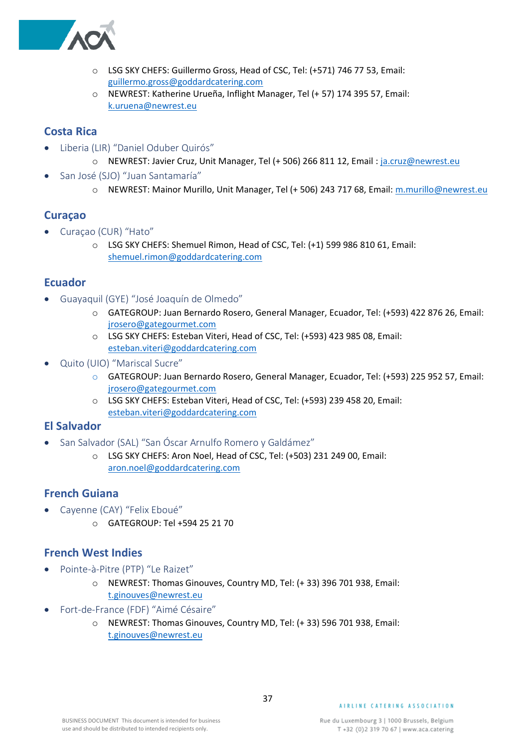

- o LSG SKY CHEFS: Guillermo Gross, Head of CSC, Tel: (+571) 746 77 53, Email: [guillermo.gross@goddardcatering.com](mailto:guillermo.gross@goddardcatering.com)
- o NEWREST: Katherine Urueña, Inflight Manager, Tel (+ 57) 174 395 57, Email: [k.uruena@newrest.eu](mailto:k.uruena@newrest.eu)

#### <span id="page-36-0"></span>**Costa Rica**

- <span id="page-36-1"></span>• Liberia (LIR) "Daniel Oduber Quirós"
	- o NEWREST: Javier Cruz, Unit Manager, Tel (+ 506) 266 811 12, Email : [ja.cruz@newrest.eu](mailto:ja.cruz@newrest.eu)
- <span id="page-36-2"></span>• San José (SJO) "Juan Santamaría"
	- o NEWREST: Mainor Murillo, Unit Manager, Tel (+ 506) 243 717 68, Email: [m.murillo@newrest.eu](mailto:m.murillo@newrest.eu)

#### <span id="page-36-3"></span>**Curaçao**

- <span id="page-36-4"></span>• Curaçao (CUR) "Hato"
	- o LSG SKY CHEFS: Shemuel Rimon, Head of CSC, Tel: (+1) 599 986 810 61, Email: [shemuel.rimon@goddardcatering.com](mailto:shemuel.rimon@goddardcatering.com)

#### <span id="page-36-5"></span>**Ecuador**

- <span id="page-36-6"></span>• Guayaquil (GYE) "José Joaquín de Olmedo"
	- o GATEGROUP: Juan Bernardo Rosero, General Manager, Ecuador, Tel: (+593) 422 876 26, Email: [jrosero@gategourmet.com](mailto:jrosero@gategourmet.com)
	- o LSG SKY CHEFS: Esteban Viteri, Head of CSC, Tel: (+593) 423 985 08, Email: [esteban.viteri@goddardcatering.com](mailto:esteban.viteri@goddardcatering.com)
- <span id="page-36-7"></span>• Quito (UIO) "Mariscal Sucre"
	- o GATEGROUP: Juan Bernardo Rosero, General Manager, Ecuador, Tel: (+593) 225 952 57, Email: [jrosero@gategourmet.com](mailto:jrosero@gategourmet.com)
	- o LSG SKY CHEFS: Esteban Viteri, Head of CSC, Tel: (+593) 239 458 20, Email: [esteban.viteri@goddardcatering.com](mailto:esteban.viteri@goddardcatering.com)

#### <span id="page-36-8"></span>**El Salvador**

- <span id="page-36-9"></span>• San Salvador (SAL) "San Óscar Arnulfo Romero y Galdámez"
	- o LSG SKY CHEFS: Aron Noel, Head of CSC, Tel: (+503) 231 249 00, Email: [aron.noel@goddardcatering.com](mailto:aron.noel@goddardcatering.com)

### <span id="page-36-10"></span>**French Guiana**

- <span id="page-36-11"></span>• Cayenne (CAY) "Felix Eboué"
	- o GATEGROUP: Tel +594 25 21 70

#### <span id="page-36-12"></span>**French West Indies**

- <span id="page-36-13"></span>• Pointe-à-Pitre (PTP) "Le Raizet"
	- o NEWREST: Thomas Ginouves, Country MD, Tel: (+ 33) 396 701 938, Email: [t.ginouves@newrest.eu](mailto:t.ginouves@newrest.eu)
- <span id="page-36-14"></span>• Fort-de-France (FDF) "Aimé Césaire"
	- o NEWREST: Thomas Ginouves, Country MD, Tel: (+ 33) 596 701 938, Email: [t.ginouves@newrest.eu](mailto:t.ginouves@newrest.eu)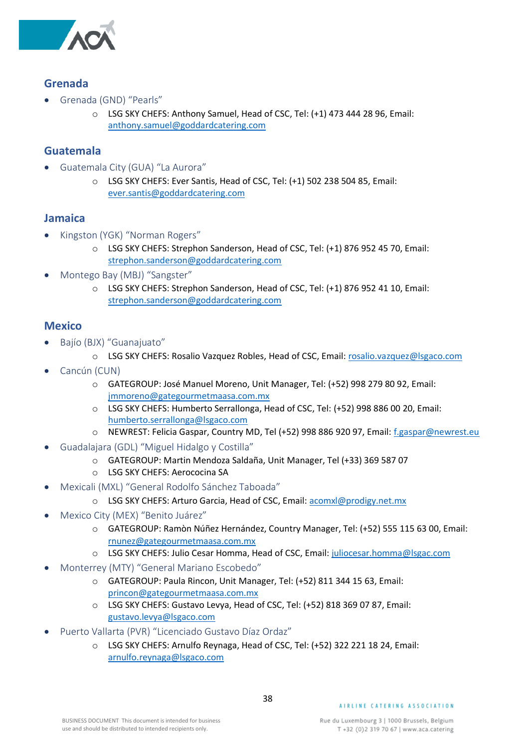

#### <span id="page-37-0"></span>**Grenada**

- <span id="page-37-1"></span>• Grenada (GND) "Pearls"
	- o LSG SKY CHEFS: Anthony Samuel, Head of CSC, Tel: (+1) 473 444 28 96, Email: [anthony.samuel@goddardcatering.com](mailto:anthony.samuel@goddardcatering.com)

#### <span id="page-37-2"></span>**Guatemala**

- <span id="page-37-3"></span>• Guatemala City (GUA) "La Aurora"
	- o LSG SKY CHEFS: Ever Santis, Head of CSC, Tel: (+1) 502 238 504 85, Email: [ever.santis@goddardcatering.com](mailto:ever.santis@goddardcatering.com)

#### <span id="page-37-4"></span>**Jamaica**

- <span id="page-37-5"></span>• Kingston (YGK) "Norman Rogers"
	- o LSG SKY CHEFS: Strephon Sanderson, Head of CSC, Tel: (+1) 876 952 45 70, Email: [strephon.sanderson@goddardcatering.com](mailto:strephon.sanderson@goddardcatering.com)
- <span id="page-37-6"></span>• Montego Bay (MBJ) "Sangster"
	- o LSG SKY CHEFS: Strephon Sanderson, Head of CSC, Tel: (+1) 876 952 41 10, Email: [strephon.sanderson@goddardcatering.com](mailto:strephon.sanderson@goddardcatering.com)

#### <span id="page-37-7"></span>**Mexico**

- <span id="page-37-8"></span>• Bajío (BJX) "Guanajuato"
	- o LSG SKY CHEFS: Rosalio Vazquez Robles, Head of CSC, Email: [rosalio.vazquez@lsgaco.com](mailto:rosalio.vazquez@lsgaco.com)
- <span id="page-37-9"></span>Cancún (CUN)
	- o GATEGROUP: José Manuel Moreno, Unit Manager, Tel: (+52) 998 279 80 92, Email: [jmmoreno@gategourmetmaasa.com.mx](mailto:jmmoreno@gategourmetmaasa.com.mx)
	- o LSG SKY CHEFS: Humberto Serrallonga, Head of CSC, Tel: (+52) 998 886 00 20, Email: [humberto.serrallonga@lsgaco.com](mailto:humberto.serrallonga@lsgaco.com)
	- o NEWREST: Felicia Gaspar, Country MD, Tel (+52) 998 886 920 97, Email: [f.gaspar@newrest.eu](mailto:f.gaspar@newrest.eu)
- <span id="page-37-10"></span>• Guadalajara (GDL) "Miguel Hidalgo y Costilla"
	- o GATEGROUP: Martin Mendoza Saldaña, Unit Manager, Tel (+33) 369 587 07
	- o LSG SKY CHEFS: Aerococina SA
- <span id="page-37-11"></span>• Mexicali (MXL) "General Rodolfo Sánchez Taboada"
	- o LSG SKY CHEFS: Arturo Garcia, Head of CSC, Email: [acomxl@prodigy.net.mx](mailto:acomxl@prodigy.net.mx)
- <span id="page-37-12"></span>• Mexico City (MEX) "Benito Juárez"
	- o GATEGROUP: Ramòn Núñez Hernández, Country Manager, Tel: (+52) 555 115 63 00, Email: [rnunez@gategourmetmaasa.com.mx](mailto:rnunez@gategourmetmaasa.com.mx)
	- o LSG SKY CHEFS: Julio Cesar Homma, Head of CSC, Email: [juliocesar.homma@lsgac.com](mailto:juliocesar.homma@lsgac.com)
- <span id="page-37-13"></span>• Monterrey (MTY) "General Mariano Escobedo"
	- o GATEGROUP: Paula Rincon, Unit Manager, Tel: (+52) 811 344 15 63, Email: [princon@gategourmetmaasa.com.mx](mailto:princon@gategourmetmaasa.com.mx)
	- o LSG SKY CHEFS: Gustavo Levya, Head of CSC, Tel: (+52) 818 369 07 87, Email: [gustavo.levya@lsgaco.com](mailto:gustavo.levya@lsgaco.com)
- <span id="page-37-14"></span>• Puerto Vallarta (PVR) "Licenciado Gustavo Díaz Ordaz"
	- o LSG SKY CHEFS: Arnulfo Reynaga, Head of CSC, Tel: (+52) 322 221 18 24, Email: [arnulfo.reynaga@lsgaco.com](mailto:arnulfo.reynaga@lsgaco.com)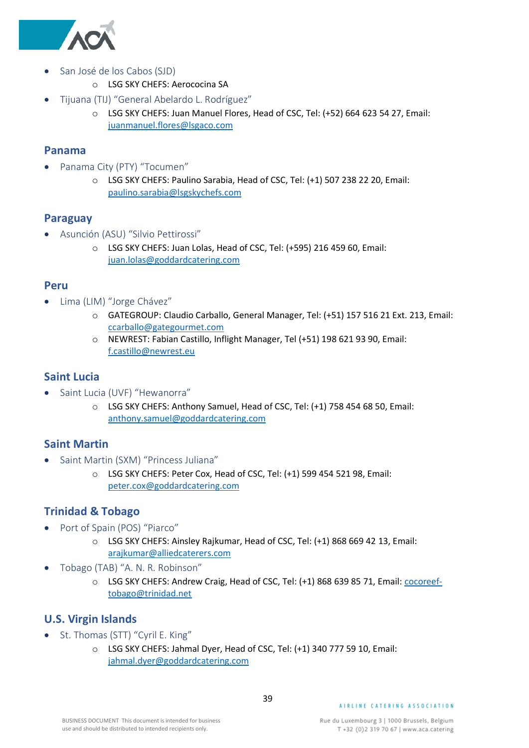

- <span id="page-38-0"></span>• San José de los Cabos (SJD)
	- o LSG SKY CHEFS: Aerococina SA
- <span id="page-38-1"></span>• Tijuana (TIJ) "General Abelardo L. Rodríguez"
	- o LSG SKY CHEFS: Juan Manuel Flores, Head of CSC, Tel: (+52) 664 623 54 27, Email: [juanmanuel.flores@lsgaco.com](mailto:juanmanuel.flores@lsgaco.com)

#### <span id="page-38-2"></span>**Panama**

- <span id="page-38-3"></span>• Panama City (PTY) "Tocumen"
	- o LSG SKY CHEFS: Paulino Sarabia, Head of CSC, Tel: (+1) 507 238 22 20, Email: [paulino.sarabia@lsgskychefs.com](mailto:paulino.sarabia@lsgskychefs.com)

#### <span id="page-38-4"></span>**Paraguay**

- <span id="page-38-5"></span>• Asunción (ASU) "Silvio Pettirossi"
	- o LSG SKY CHEFS: Juan Lolas, Head of CSC, Tel: (+595) 216 459 60, Email: [juan.lolas@goddardcatering.com](mailto:juan.lolas@goddardcatering.com)

#### <span id="page-38-6"></span>**Peru**

- <span id="page-38-7"></span>• Lima (LIM) "Jorge Chávez"
	- o GATEGROUP: Claudio Carballo, General Manager, Tel: (+51) 157 516 21 Ext. 213, Email: [ccarballo@gategourmet.com](mailto:ccarballo@gategourmet.com)
	- o NEWREST: Fabian Castillo, Inflight Manager, Tel (+51) 198 621 93 90, Email: [f.castillo@newrest.eu](mailto:f.castillo@newrest.eu)

#### <span id="page-38-8"></span>**Saint Lucia**

- <span id="page-38-9"></span>• Saint Lucia (UVF) "Hewanorra"
	- o LSG SKY CHEFS: Anthony Samuel, Head of CSC, Tel: (+1) 758 454 68 50, Email: [anthony.samuel@goddardcatering.com](mailto:anthony.samuel@goddardcatering.com)

#### <span id="page-38-10"></span>**Saint Martin**

- <span id="page-38-11"></span>• Saint Martin (SXM) "Princess Juliana"
	- o LSG SKY CHEFS: Peter Cox, Head of CSC, Tel: (+1) 599 454 521 98, Email: [peter.cox@goddardcatering.com](mailto:peter.cox@goddardcatering.com)

#### <span id="page-38-12"></span>**Trinidad & Tobago**

- <span id="page-38-13"></span>• Port of Spain (POS) "Piarco"
	- o LSG SKY CHEFS: Ainsley Rajkumar, Head of CSC, Tel: (+1) 868 669 42 13, Email: [arajkumar@alliedcaterers.com](mailto:arajkumar@alliedcaterers.com)
- <span id="page-38-14"></span>• Tobago (TAB) "A. N. R. Robinson"
	- o LSG SKY CHEFS: Andrew Craig, Head of CSC, Tel: (+1) 868 639 85 71, Email: *cocoreef*[tobago@trinidad.net](mailto:cocoreef-tobago@trinidad.net)

#### <span id="page-38-15"></span>**U.S. Virgin Islands**

- <span id="page-38-16"></span>• St. Thomas (STT) "Cyril E. King"
	- o LSG SKY CHEFS: Jahmal Dyer, Head of CSC, Tel: (+1) 340 777 59 10, Email: [jahmal.dyer@goddardcatering.com](mailto:jahmal.dyer@goddardcatering.com)